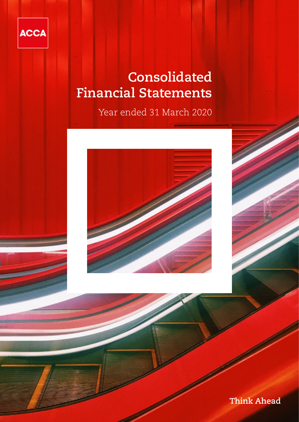

# **Consolidated Financial Statements**

Year ended 31 March 2020



**Think Ahead**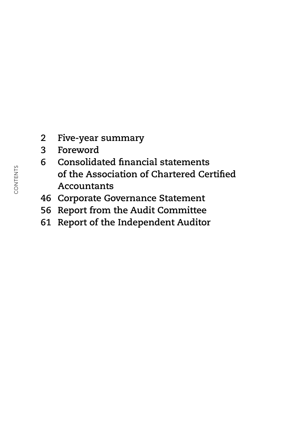- **2 Five-year summary**
- **3 Foreword**
- **6 Consolidated financial statements of the Association of Chartered Certified Accountants**
- **46 Corporate Governance Statement**
- **56 Report from the Audit Committee**
- **61 Report of the Independent Auditor**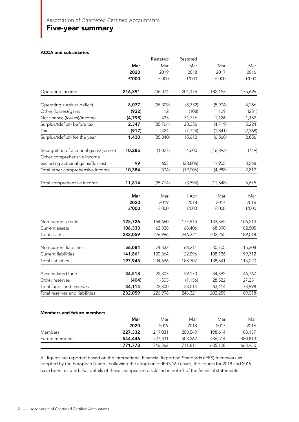## Five-year summary

#### ACCA and subsidiaries

|                                                                       |         | Restated  | Restated  |                       |                       |
|-----------------------------------------------------------------------|---------|-----------|-----------|-----------------------|-----------------------|
|                                                                       | Mar     | Mar       | Mar       | Mar                   | Mar                   |
|                                                                       | 2020    | 2019      | 2018      | 2017                  | 2016                  |
|                                                                       | £'000   | £'000     | £'000     | ${\tt f}^{\prime}000$ | ${\tt f}^{\prime}000$ |
| Operating income                                                      | 216,391 | 206,074   | 201,176   | 182,153               | 175,696               |
| Operating surplus/(deficit)                                           | 8,077   | (36, 309) | (8, 332)  | (5,974)               | 4,266                 |
| Other (losses)/gains                                                  | (932)   | 112       | (108)     | 129                   | (231)                 |
| Net finance (losses)/income                                           | (4,798) | 433       | 31,776    | 1,126                 | 1,189                 |
| Surplus/(deficit) before tax                                          | 2,347   | (35, 764) | 23,336    | (4, 719)              | 5,224                 |
| Tax                                                                   | (917)   | 424       | (7, 724)  | (1, 841)              | (2,368)               |
| Surplus/(deficit) for the year                                        | 1,430   | (35, 340) | 15,612    | (6, 560)              | 2,856                 |
| Recognition of actuarial gains/(losses)<br>Other comprehensive income | 10,285  | (1,027)   | 4,600     | (16, 893)             | (749)                 |
| excluding actuarial gains/(losses)                                    | 99      | 653       | (23,806)  | 11,905                | 3,568                 |
| Total other comprehensive income                                      | 10,384  | (374)     | (19, 206) | (4,988)               | 2,819                 |
| Total comprehensive income                                            | 11,814  | (35, 714) | (3, 594)  | (11, 548)             | 5,675                 |
|                                                                       | Mar     | Mar       | 1 Apr     | Mar                   | Mar                   |
|                                                                       | 2020    | 2019      | 2018      | 2017                  | 2016                  |
|                                                                       | £'000   | £'000     | f'000     | £'000                 | ${\tt f}^{\prime}000$ |
| Non-current assets                                                    | 125,726 | 164,660   | 177,915   | 133,865               | 106,513               |
| Current assets                                                        | 106,333 | 62,336    | 68,406    | 68,390                | 82,505                |
| Total assets                                                          | 232,059 | 226,996   | 246,321   | 202,255               | 189,018               |
| Non-current liabilities                                               | 56,084  | 74,332    | 66,211    | 30,705                | 15,308                |
| Current liabilities                                                   | 141,861 | 130,364   | 122,096   | 108,136               | 99,712                |
| <b>Total liabilities</b>                                              | 197,945 | 204,696   | 188,307   | 138,841               | 115,020               |
| Accumulated fund                                                      | 34,518  | 22,803    | 59,170    | 34,892                | 46,767                |
| Other reserves                                                        | (404)   | (503)     | (1, 156)  | 28,522                | 27,231                |
| Total funds and reserves                                              | 34,114  | 22,300    | 58,014    | 63,414                | 73,998                |
| Total reserves and liabilities                                        | 232,059 | 226,996   | 246,321   | 202,255               | 189,018               |
|                                                                       |         |           |           |                       |                       |
| <b>Members and future members</b>                                     | Mar     | Mar       | Mar       | Mar                   | Mar                   |
|                                                                       | 2020    | 2019      | 2018      | 2017                  | 2016                  |
| Members                                                               | 227,332 | 219,031   | 208,549   | 198,614               | 188,137               |

All figures are reported based on the International Financial Reporting Standards (IFRS) framework as adopted by the European Union. Following the adoption of IFRS 16 Leases, the figures for 2018 and 2019 have been restated. Full details of these changes are disclosed in note 1 of the financial statements.

Future members 544,446 527,331 503,262 486,514 480,813

771,778 746,362 711,811 685,128 668,950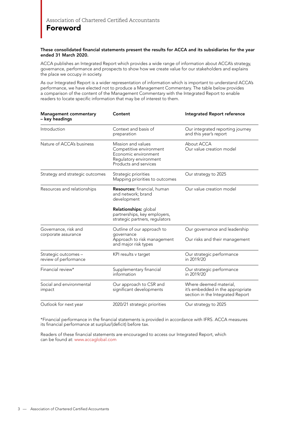### Foreword

#### These consolidated financial statements present the results for ACCA and its subsidiaries for the year ended 31 March 2020.

ACCA publishes an Integrated Report which provides a wide range of information about ACCA's strategy, governance, performance and prospects to show how we create value for our stakeholders and explains the place we occupy in society.

As our Integrated Report is a wider representation of information which is important to understand ACCA's performance, we have elected not to produce a Management Commentary. The table below provides a comparison of the content of the Management Commentary with the Integrated Report to enable readers to locate specific information that may be of interest to them.

| <b>Management commentary</b><br>– key headings | Content                                                                                                                  | Integrated Report reference                                                                    |
|------------------------------------------------|--------------------------------------------------------------------------------------------------------------------------|------------------------------------------------------------------------------------------------|
| Introduction                                   | Context and basis of<br>preparation                                                                                      | Our integrated reporting journey<br>and this year's report                                     |
| Nature of ACCA's business                      | Mission and values<br>Competitive environment<br>Economic environment<br>Regulatory environment<br>Products and services | About ACCA<br>Our value creation model                                                         |
| Strategy and strategic outcomes                | Strategic priorities<br>Mapping priorities to outcomes                                                                   | Our strategy to 2025                                                                           |
| Resources and relationships                    | Resources: financial, human<br>and network; brand<br>development                                                         | Our value creation model                                                                       |
|                                                | Relationships: global<br>partnerships, key employers,<br>strategic partners, regulators                                  |                                                                                                |
| Governance, risk and<br>corporate assurance    | Outline of our approach to<br>governance<br>Approach to risk management<br>and major risk types                          | Our governance and leadership<br>Our risks and their management                                |
| Strategic outcomes -<br>review of performance  | KPI results v target                                                                                                     | Our strategic performance<br>in 2019/20                                                        |
| Financial review*                              | Supplementary financial<br>information                                                                                   | Our strategic performance<br>in 2019/20                                                        |
| Social and environmental<br>impact             | Our approach to CSR and<br>significant developments                                                                      | Where deemed material,<br>it's embedded in the appropriate<br>section in the Integrated Report |
| Outlook for next year                          | 2020/21 strategic priorities                                                                                             | Our strategy to 2025                                                                           |

\*Financial performance in the financial statements is provided in accordance with IFRS. ACCA measures its financial performance at surplus/(deficit) before tax.

Readers of these financial statements are encouraged to access our Integrated Report, which can be found at: www.accaglobal.com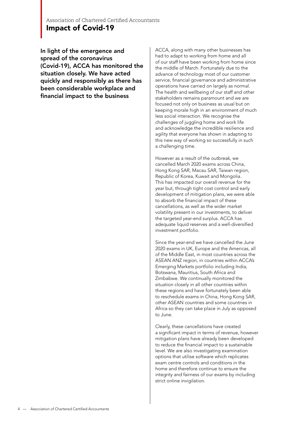### Association of Chartered Certified Accountants Impact of Covid-19

In light of the emergence and spread of the coronavirus (Covid-19), ACCA has monitored the situation closely. We have acted quickly and responsibly as there has been considerable workplace and financial impact to the business

ACCA, along with many other businesses has had to adapt to working from home and all of our staff have been working from home since the middle of March. Fortunately due to the advance of technology most of our customer service, financial governance and administrative operations have carried on largely as normal. The health and wellbeing of our staff and other stakeholders remains paramount and we are focused not only on business as usual but on keeping morale high in an environment of much less social interaction. We recognise the challenges of juggling home and work life and acknowledge the incredible resilience and agility that everyone has shown in adapting to this new way of working so successfully in such a challenging time.

However as a result of the outbreak, we cancelled March 2020 exams across China, Hong Kong SAR, Macau SAR, Taiwan region, Republic of Korea, Kuwait and Mongolia. This has impacted our overall revenue for the year but, through tight cost control and early development of mitigation plans, we were able to absorb the financial impact of these cancellations, as well as the wider market volatility present in our investments, to deliver the targeted year-end surplus. ACCA has adequate liquid reserves and a well-diversified investment portfolio.

Since the year-end we have cancelled the June 2020 exams in UK, Europe and the Americas, all of the Middle East, in most countries across the ASEAN ANZ region, in countries within ACCA's Emerging Markets portfolio including India, Botswana, Mauritius, South Africa and Zimbabwe. We continually monitored the situation closely in all other countries within these regions and have fortunately been able to reschedule exams in China, Hong Kong SAR, other ASEAN countries and some countries in Africa so they can take place in July as opposed to June.

Clearly, these cancellations have created a significant impact in terms of revenue, however mitigation plans have already been developed to reduce the financial impact to a sustainable level. We are also investigating examination options that utilise software which replicates exam centre controls and conditions in the home and therefore continue to ensure the integrity and fairness of our exams by including strict online invigilation.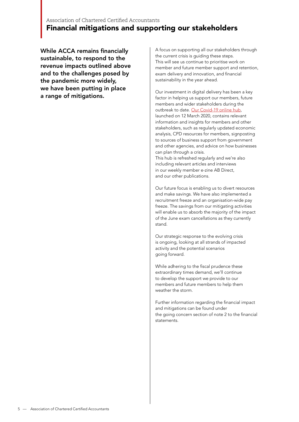### Association of Chartered Certified Accountants Financial mitigations and supporting our stakeholders

While ACCA remains financially sustainable, to respond to the revenue impacts outlined above and to the challenges posed by the pandemic more widely, we have been putting in place a range of mitigations.

A focus on supporting all our stakeholders through the current crisis is guiding these steps. This will see us continue to prioritise work on member and future member support and retention, exam delivery and innovation, and financial sustainability in the year ahead.

Our investment in digital delivery has been a key factor in helping us support our members, future members and wider stakeholders during the outbreak to date. Our Covid-19 online hub, launched on 12 March 2020, contains relevant information and insights for members and other stakeholders, such as regularly updated economic analysis, CPD resources for members, signposting to sources of business support from government and other agencies, and advice on how businesses can plan through a crisis.

This hub is refreshed regularly and we're also including relevant articles and interviews in our weekly member e-zine AB Direct, and our other publications.

Our future focus is enabling us to divert resources and make savings. We have also implemented a recruitment freeze and an organisation-wide pay freeze. The savings from our mitigating activities will enable us to absorb the majority of the impact of the June exam cancellations as they currently stand.

Our strategic response to the evolving crisis is ongoing, looking at all strands of impacted activity and the potential scenarios going forward.

While adhering to the fiscal prudence these extraordinary times demand, we'll continue to develop the support we provide to our members and future members to help them weather the storm.

Further information regarding the financial impact and mitigations can be found under the going concern section of note 2 to the financial statements.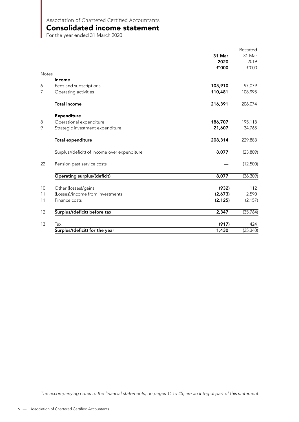Consolidated income statement

For the year ended 31 March 2020

|              |                                              |          | Restated  |
|--------------|----------------------------------------------|----------|-----------|
|              |                                              | 31 Mar   | 31 Mar    |
|              |                                              | 2020     | 2019      |
|              |                                              | £'000    | £'000     |
| <b>Notes</b> |                                              |          |           |
|              | Income                                       |          |           |
| 6            | Fees and subscriptions                       | 105,910  | 97,079    |
| 7            | Operating activities                         | 110,481  | 108,995   |
|              | <b>Total income</b>                          | 216,391  | 206,074   |
|              | <b>Expenditure</b>                           |          |           |
| 8            | Operational expenditure                      | 186,707  | 195,118   |
| 9            | Strategic investment expenditure             | 21,607   | 34,765    |
|              | <b>Total expenditure</b>                     | 208,314  | 229,883   |
|              | Surplus/(deficit) of income over expenditure | 8,077    | (23, 809) |
| 22           | Pension past service costs                   |          | (12,500)  |
|              | <b>Operating surplus/(deficit)</b>           | 8,077    | (36, 309) |
| 10           | Other (losses)/gains                         | (932)    | 112       |
| 11           | (Losses)/income from investments             | (2,673)  | 2,590     |
| 11           | Finance costs                                | (2, 125) | (2, 157)  |
| 12           | Surplus/(deficit) before tax                 | 2,347    | (35, 764) |
| 13           | Tax                                          | (917)    | 424       |
|              | Surplus/(deficit) for the year               | 1,430    | (35, 340) |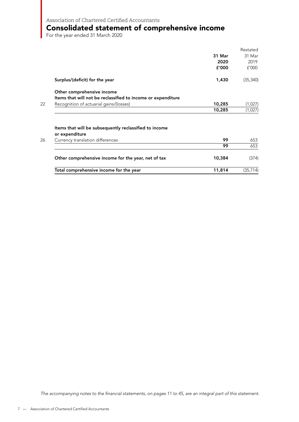### Consolidated statement of comprehensive income

For the year ended 31 March 2020

|                                                                          |        | Restated  |
|--------------------------------------------------------------------------|--------|-----------|
|                                                                          | 31 Mar | 31 Mar    |
|                                                                          | 2020   | 2019      |
|                                                                          | f'000  | f'000     |
| Surplus/(deficit) for the year                                           | 1,430  | (35, 340) |
| Other comprehensive income                                               |        |           |
| Items that will not be reclassified to income or expenditure             |        |           |
| Recognition of actuarial gains/(losses)                                  | 10,285 | (1,027)   |
|                                                                          | 10,285 | (1,027)   |
| Items that will be subsequently reclassified to income<br>or expenditure |        |           |
| Currency translation differences                                         | 99     | 653       |
|                                                                          | 99     | 653       |
| Other comprehensive income for the year, net of tax                      | 10,384 | (374)     |
| Total comprehensive income for the year                                  | 11,814 | (35, 714) |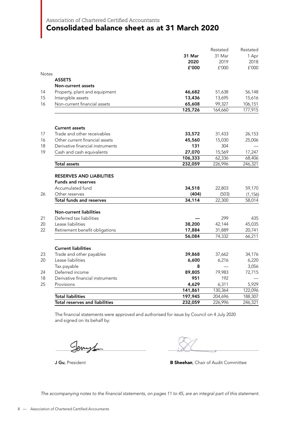### Consolidated balance sheet as at 31 March 2020

|              |                                       |         | Restated | Restated |
|--------------|---------------------------------------|---------|----------|----------|
|              |                                       | 31 Mar  | 31 Mar   | 1 Apr    |
|              |                                       | 2020    | 2019     | 2018     |
|              |                                       | £'000   | £'000    | f'000    |
| <b>Notes</b> |                                       |         |          |          |
|              | <b>ASSETS</b>                         |         |          |          |
|              | <b>Non-current assets</b>             |         |          |          |
| 14           | Property, plant and equipment         | 46,682  | 51,638   | 56,148   |
| 15           | Intangible assets                     | 13,436  | 13,695   | 15,616   |
| 16           | Non-current financial assets          | 65,608  | 99,327   | 106,151  |
|              |                                       | 125,726 | 164,660  | 177,915  |
|              |                                       |         |          |          |
|              | <b>Current assets</b>                 |         |          |          |
| 17           | Trade and other receivables           | 33,572  | 31,433   | 26,153   |
| 16           | Other current financial assets        | 45,560  | 15,030   | 25,006   |
| 18           | Derivative financial instruments      | 131     | 304      |          |
| 19           | Cash and cash equivalents             | 27,070  | 15,569   | 17,247   |
|              |                                       | 106,333 | 62,336   | 68,406   |
|              | Total assets                          | 232,059 | 226,996  | 246,321  |
|              | <b>RESERVES AND LIABILITIES</b>       |         |          |          |
|              | <b>Funds and reserves</b>             |         |          |          |
|              | Accumulated fund                      | 34,518  | 22,803   | 59,170   |
| 26           | Other reserves                        | (404)   | (503)    | (1, 156) |
|              | <b>Total funds and reserves</b>       | 34,114  | 22,300   | 58,014   |
|              |                                       |         |          |          |
|              | <b>Non-current liabilities</b>        |         |          |          |
| 21           | Deferred tax liabilities              |         | 299      | 435      |
| 20           | Lease liabilities                     | 38,200  | 42,144   | 45,035   |
| 22           | Retirement benefit obligations        | 17,884  | 31,889   | 20,741   |
|              |                                       | 56,084  | 74,332   | 66,211   |
|              | <b>Current liabilities</b>            |         |          |          |
| 23           | Trade and other payables              | 39,868  | 37,662   | 34,176   |
| 20           | Lease liabilities                     | 6,600   | 6,216    | 6,220    |
|              | Tax payable                           | 8       |          | 3,056    |
| 24           | Deferred income                       | 89,805  | 79,983   | 72,715   |
| 18           | Derivative financial instruments      | 951     | 192      |          |
| 25           | Provisions                            | 4,629   | 6,311    | 5,929    |
|              |                                       | 141,861 | 130,364  | 122,096  |
|              | <b>Total liabilities</b>              | 197,945 | 204,696  | 188,307  |
|              | <b>Total reserves and liabilities</b> | 232,059 | 226,996  | 246,321  |

The financial statements were approved and authorised for issue by Council on 4 July 2020 and signed on its behalf by:

Cemple

**J Gu**, President **B Sheehan**, Chair of Audit Committee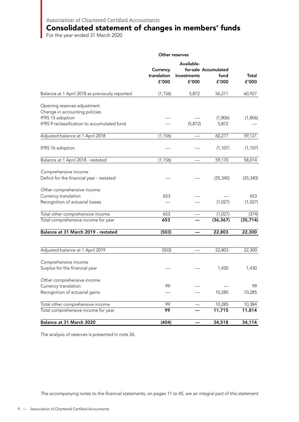### Consolidated statement of changes in members' funds

For the year ended 31 March 2020

|                                                                                  | Other reserves                   |                                    |                                       |                  |
|----------------------------------------------------------------------------------|----------------------------------|------------------------------------|---------------------------------------|------------------|
|                                                                                  | Currency<br>translation<br>£'000 | Available-<br>investments<br>£'000 | for-sale Accumulated<br>fund<br>£'000 | Total<br>£'000   |
| Balance at 1 April 2018 as previously reported                                   | (1, 156)                         | 5,872                              | 56,211                                | 60,927           |
| Opening reserves adjustment<br>Change in accounting policies<br>IFRS 15 adoption |                                  |                                    | (1,806)                               | (1,806)          |
| IFRS 9 reclassification to accumulated fund                                      |                                  | (5, 872)                           | 5,872                                 |                  |
| Adjusted balance at 1 April 2018                                                 | (1, 156)                         |                                    | 60,277                                | 59,121           |
| IFRS 16 adoption                                                                 |                                  |                                    | (1, 107)                              | (1, 107)         |
| Balance at 1 April 2018 - restated                                               | (1, 156)                         |                                    | 59,170                                | 58,014           |
| Comprehensive income<br>Deficit for the financial year - restated                |                                  |                                    | (35, 340)                             | (35, 340)        |
| Other comprehensive income                                                       |                                  |                                    |                                       |                  |
| Currency translation<br>Recognition of actuarial losses                          | 653                              |                                    | (1,027)                               | 653<br>(1,027)   |
| Total other comprehensive income                                                 | 653                              |                                    | (1,027)                               | (374)            |
| Total comprehensive income for year                                              | 653                              |                                    | (36, 367)                             | (35, 714)        |
| Balance at 31 March 2019 - restated                                              | (503)                            |                                    | 22,803                                | 22,300           |
| Adjusted balance at 1 April 2019                                                 | (503)                            |                                    | 22,803                                | 22,300           |
| Comprehensive income<br>Surplus for the financial year                           |                                  |                                    | 1,430                                 | 1,430            |
| Other comprehensive income                                                       |                                  |                                    |                                       |                  |
| Currency translation<br>Recognition of actuarial gains                           | 99                               |                                    | 10,285                                | 99<br>10,285     |
|                                                                                  |                                  |                                    |                                       |                  |
| Total other comprehensive income<br>Total comprehensive income for year          | 99<br>99                         |                                    | 10,285<br>11,715                      | 10,384<br>11,814 |
| Balance at 31 March 2020                                                         | (404)                            |                                    | 34,518                                | 34,114           |

The analysis of reserves is presented in note 26.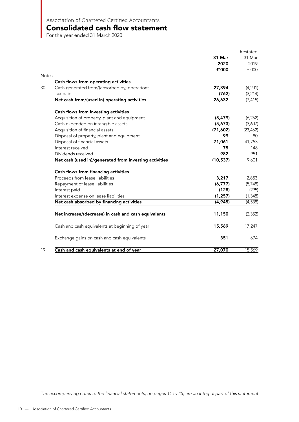Consolidated cash flow statement

For the year ended 31 March 2020

|                                                        |           | Restated  |
|--------------------------------------------------------|-----------|-----------|
|                                                        | 31 Mar    | 31 Mar    |
|                                                        | 2020      | 2019      |
|                                                        | £'000     | f'000     |
| Notes                                                  |           |           |
| Cash flows from operating activities                   |           |           |
| Cash generated from/(absorbed by) operations           | 27,394    | (4,201)   |
| Tax paid                                               | (762)     | (3, 214)  |
| Net cash from/(used in) operating activities           | 26,632    | (7, 415)  |
| Cash flows from investing activities                   |           |           |
| Acquisition of property, plant and equipment           | (5, 479)  | (6, 262)  |
| Cash expended on intangible assets                     | (5,673)   | (3,607)   |
| Acquisition of financial assets                        | (71,602)  | (23, 462) |
| Disposal of property, plant and equipment              | 99        | 80        |
| Disposal of financial assets                           | 71,061    | 41,753    |
| Interest received                                      | 75        | 148       |
| Dividends received                                     | 982       | 951       |
| Net cash (used in)/generated from investing activities | (10, 537) | 9,601     |
| Cash flows from financing activities                   |           |           |
| Proceeds from lease liabilities                        | 3,217     | 2,853     |
| Repayment of lease liabilities                         | (6,777)   | (5,748)   |
| Interest paid                                          | (128)     | (295)     |
| Interest expense on lease liabilities                  | (1, 257)  | (1, 348)  |
| Net cash absorbed by financing activities              | (4, 945)  | (4,538)   |
| Net increase/(decrease) in cash and cash equivalents   | 11,150    | (2, 352)  |
| Cash and cash equivalents at beginning of year         | 15,569    | 17,247    |
| Exchange gains on cash and cash equivalents            | 351       | 674       |
| Cash and cash equivalents at end of year               | 27,070    | 15,569    |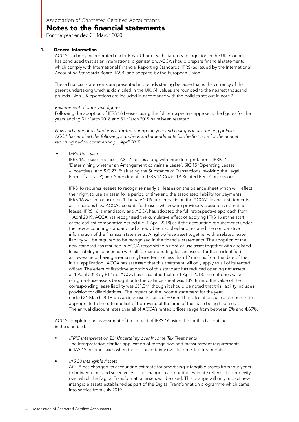For the year ended 31 March 2020

#### 1. General information

ACCA is a body incorporated under Royal Charter with statutory recognition in the UK. Council has concluded that as an international organisation, ACCA should prepare financial statements which comply with International Financial Reporting Standards (IFRS) as issued by the International Accounting Standards Board (IASB) and adopted by the European Union.

These financial statements are presented in pounds sterling because that is the currency of the parent undertaking which is domiciled in the UK. All values are rounded to the nearest thousand pounds. Non-UK operations are included in accordance with the policies set out in note 2.

#### Restatement of prior year figures

Following the adoption of IFRS 16 Leases, using the full retrospective approach, the figures for the years ending 31 March 2018 and 31 March 2019 have been restated.

New and amended standards adopted during the year and changes in accounting policies ACCA has applied the following standards and amendments for the first time for the annual reporting period commencing 1 April 2019.

• IFRS 16: Leases

IFRS 16: Leases replaces IAS 17 Leases along with three Interpretations (IFRIC 4 'Determining whether an Arrangement contains a Lease', SIC 15 'Operating Leases – Incentives' and SIC 27 'Evaluating the Substance of Transactions involving the Legal Form of a Lease') and Amendments to IFRS 16,Covid-19-Related Rent Concessions.

IFRS 16 requires lessees to recognise nearly all leases on the balance sheet which will reflect their right to use an asset for a period of time and the associated liability for payments. IFRS 16 was introduced on 1 January 2019 and impacts on the ACCA's financial statements as it changes how ACCA accounts for leases, which were previously classed as operating leases. IFRS 16 is mandatory and ACCA has adopted the full retrospective approach from 1 April 2019. ACCA has recognised the cumulative effect of applying IFRS 16 at the start of the earliest comparative period (i.e. 1 April 2018) as if the accounting requirements under the new accounting standard had already been applied and restated the comparative information of the financial statements. A right-of-use asset together with a related lease liability will be required to be recognised in the financial statements. The adoption of the new standard has resulted in ACCA recognising a right-of-use asset together with a related lease liability in connection with all former operating leases except for those identified as low-value or having a remaining lease term of less than 12 months from the date of the initial application. ACCA has assessed that this treatment will only apply to all of its rented offices. The effect of first-time adoption of this standard has reduced opening net assets at 1 April 2018 by £1.1m. ACCA has calculated that on 1 April 2018, the net book value of right-of-use assets brought onto the balance sheet was £39.8m and the value of the corresponding lease liability was £51.3m, though it should be noted that this liability includes provision for dilapidations. The impact on the income statement for the year ended 31 March 2019 was an increase in costs of £0.6m. The calculations use a discount rate appropriate to the rate implicit of borrowing at the time of the lease being taken out. The annual discount rates over all of ACCA's rented offices range from between 2% and 4.69%.

ACCA completed an assessment of the impact of IFRS 16 using the method as outlined in the standard.

- IFRIC Interpretation 23: Uncertainty over Income Tax Treatments The Interpretation clarifies application of recognition and measurement requirements in IAS 12 Income Taxes when there is uncertainty over Income Tax Treatments.
- IAS 38 Intangible Assets

ACCA has changed its accounting estimate for amortising intangible assets from four years to between four and seven years. The change in accounting estimate reflects the longevity over which the Digital Transformation assets will be used. This change will only impact new intangible assets established as part of the Digital Transformation programme which came into service from July 2019.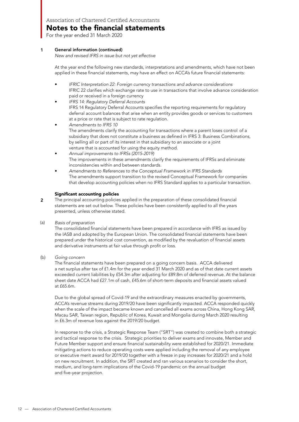For the year ended 31 March 2020

#### General information (continued) 1

New and revised IFRS in issue but not yet effective

At the year end the following new standards, interpretations and amendments, which have not been applied in these financial statements, may have an effect on ACCA's future financial statements:

- IFRIC Interpretation 22: Foreign currency transactions and advance considerations IFRIC 22 clarifies which exchange rate to use in transactions that involve advance consideration paid or received in a foreign currency
- IFRS 14: Regulatory Deferral Accounts IFRS 14 Regulatory Deferral Accounts specifies the reporting requirements for regulatory deferral account balances that arise when an entity provides goods or services to customers at a price or rate that is subject to rate regulation.
- Amendments to IFRS 10 The amendments clarify the accounting for transactions where a parent loses control of a subsidiary that does not constitute a business as defined in IFRS 3: Business Combinations, by selling all or part of its interest in that subsidiary to an associate or a joint venture that is accounted for using the equity method.
- Annual improvements to IFRSs (2015-2019) The improvements in these amendments clarify the requirements of IFRSs and eliminate inconsistencies within and between standards.
- Amendments to References to the Conceptual Framework in IFRS Standards The amendments support transition to the revised Conceptual Framework for companies that develop accounting policies when no IFRS Standard applies to a particular transaction.

#### Significant accounting policies

- The principal accounting policies applied in the preparation of these consolidated financial statements are set out below. These policies have been consistently applied to all the years presented, unless otherwise stated. 2
- Basis of preparation (a)

The consolidated financial statements have been prepared in accordance with IFRS as issued by the IASB and adopted by the European Union. The consolidated financial statements have been prepared under the historical cost convention, as modified by the revaluation of financial assets and derivative instruments at fair value through profit or loss.

Going concern  $(b)$ 

The financial statements have been prepared on a going concern basis. ACCA delivered a net surplus after tax of £1.4m for the year ended 31 March 2020 and as of that date current assets exceeded current liabilities by £54.3m after adjusting for £89.8m of deferred revenue. At the balance sheet date ACCA had £27.1m of cash, £45.6m of short-term deposits and financial assets valued at £65.6m.

Due to the global spread of Covid-19 and the extraordinary measures enacted by governments, ACCA's revenue streams during 2019/20 have been significantly impacted. ACCA responded quickly when the scale of the impact became known and cancelled all exams across China, Hong Kong SAR, Macau SAR, Taiwan region, Republic of Korea, Kuwait and Mongolia during March 2020 resulting in £6.3m of revenue loss against the 2019/20 budget.

In response to the crisis, a Strategic Response Team ("SRT") was created to combine both a strategic and tactical response to the crisis. Strategic priorities to deliver exams and innovate, Member and Future Member support and ensure financial sustainability were established for 2020/21. Immediate mitigating actions to reduce operating costs were applied including the removal of any employee or executive merit award for 2019/20 together with a freeze in pay increases for 2020/21 and a hold on new recruitment. In addition, the SRT created and ran various scenarios to consider the short, medium, and long-term implications of the Covid-19 pandemic on the annual budget and five-year projection.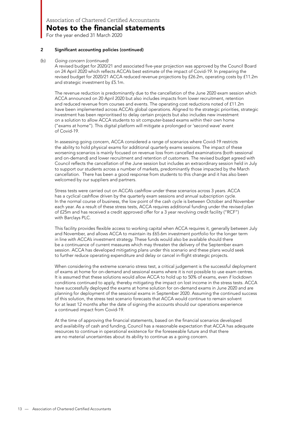For the year ended 31 March 2020

#### Significant accounting policies (continued)  $\overline{\mathbf{c}}$

#### Going concern (continued)  $(b)$

A revised budget for 2020/21 and associated five-year projection was approved by the Council Board on 24 April 2020 which reflects ACCA's best estimate of the impact of Covid-19. In preparing the revised budget for 2020/21 ACCA reduced revenue projections by £26.2m, operating costs by £11.2m and strategic investment by £5.1m.

The revenue reduction is predominantly due to the cancellation of the June 2020 exam session which ACCA announced on 20 April 2020 but also includes impacts from lower recruitment, retention and reduced revenue from courses and events. The operating cost reductions noted of £11.2m have been implemented across ACCA's global operations. Aligned to the strategic priorities, strategic investment has been reprioritised to delay certain projects but also includes new investment on a solution to allow ACCA students to sit computer-based exams within their own home ("exams at home"). This digital platform will mitigate a prolonged or 'second wave' event of Covid-19.

In assessing going concern, ACCA considered a range of scenarios where Covid-19 restricts the ability to hold physical exams for additional quarterly exams sessions. The impact of these worsening scenarios is mainly focused on revenue loss from cancelled examinations (both sessional and on-demand) and lower recruitment and retention of customers. The revised budget agreed with Council reflects the cancellation of the June session but includes an extraordinary session held in July to support our students across a number of markets, predominantly those impacted by the March cancellation. There has been a good response from students to this change and it has also been welcomed by our suppliers and partners.

Stress tests were carried out on ACCA's cashflow under these scenarios across 3 years. ACCA has a cyclical cashflow driven by the quarterly exam sessions and annual subscription cycle. In the normal course of business, the low point of the cash cycle is between October and November each year. As a result of these stress tests, ACCA requires additional funding under the revised plan of £25m and has received a credit approved offer for a 3 year revolving credit facility ("RCF") with Barclays PLC.

This facility provides flexible access to working capital when ACCA requires it, generally between July and November, and allows ACCA to maintain its £65.6m investment portfolio for the longer term in line with ACCA's investment strategy. These funds would also be available should there be a continuance of current measures which may threaten the delivery of the September exam session. ACCA has developed mitigating plans under this scenario and these plans would seek to further reduce operating expenditure and delay or cancel in-flight strategic projects.

When considering the extreme scenario stress test, a critical judgement is the successful deployment of exams at home for on-demand and sessional exams where it is not possible to use exam centres. It is assumed that these solutions would allow ACCA to hold up to 50% of exams, even if lockdown conditions continued to apply, thereby mitigating the impact on lost income in the stress tests. ACCA have successfully deployed the exams at home solution for on-demand exams in June 2020 and are planning for deployment of the sessional exams in September 2020. Assuming the continued success of this solution, the stress test scenario forecasts that ACCA would continue to remain solvent for at least 12 months after the date of signing the accounts should our operations experience a continued impact from Covid-19.

At the time of approving the financial statements, based on the financial scenarios developed and availability of cash and funding, Council has a reasonable expectation that ACCA has adequate resources to continue in operational existence for the foreseeable future and that there are no material uncertainties about its ability to continue as a going concern.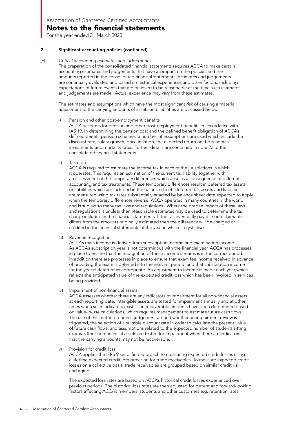For the year ended 31 March 2020

#### 2 Significant accounting policies (continued)

#### (c) Critical accounting estimates and judgements

The preparation of the consolidated financial statements requires ACCA to make certain accounting estimates and judgements that have an impact on the policies and the amounts reported in the consolidated financial statements. Estimates and judgements are continually evaluated and based on historical experiences and other factors, including expectations of future events that are believed to be reasonable at the time such estimates and judgements are made. Actual experience may vary from these estimates.

The estimates and assumptions which have the most significant risk of causing a material adjustment to the carrying amounts of assets and liabilities are discussed below.

i) Pension and other post-employment benefits

ACCA accounts for pension and other post-employment benefits in accordance with IAS 19. In determining the pension cost and the defined benefit obligation of ACCA's defined benefit pension schemes, a number of assumptions are used which include the discount rate, salary growth, price inflation, the expected return on the schemes' investments and mortality rates. Further details are contained in note 22 to the consolidated financial statements.

ii) Taxation

ACCA is required to estimate the income tax in each of the jurisdictions in which it operates. This requires an estimation of the current tax liability together with an assessment of the temporary differences which arise as a consequence of different accounting and tax treatments. These temporary differences result in deferred tax assets or liabilities which are included in the balance sheet. Deferred tax assets and liabilities are measured using tax rates substantially enacted by balance sheet date expected to apply when the temporary differences reverse. ACCA operates in many countries in the world and is subject to many tax laws and regulations. Where the precise impact of these laws and regulations is unclear then reasonable estimates may be used to determine the tax charge included in the financial statements. If the tax eventually payable or reclaimable differs from the amounts originally estimated then the difference will be charged or credited in the financial statements of the year in which it crystallises.

iii) Revenue recognition

ACCA's main income is derived from subscription income and examination income. As ACCA's subscription year is not coterminous with the financial year, ACCA has processes in place to ensure that the recognition of those income streams is in the correct period. In addition there are processes in place to ensure that exam fee income received in advance of providing the exam is deferred into the relevant period, and that subscription income for the year is deferred as appropriate. An adjustment to income is made each year which reflects the anticipated value of the expected credit loss which has been invoiced in services being provided.

iv) Impairment of non-financial assets

ACCA assesses whether there are any indicators of impairment for all non-financial assets at each reporting date. Intangible assets are tested for impairment annually and at other times when such indicators exist. The recoverable amounts have been determined based on value-in-use calculations, which requires management to estimate future cash flows. The use of this method requires judgement around whether an impairment review is triggered, the selection of a suitable discount rate in order to calculate the present value of future cash flows, and assumptions related to the expected number of students sitting exams. Other non-financial assets are tested for impairment when there are indicators that the carrying amounts may not be recoverable.

v) Provision for credit loss

ACCA applies the IFRS 9 simplified approach to measuring expected credit losses using a lifetime expected credit loss provision for trade receivables. To measure expected credit losses on a collective basis, trade receivables are grouped based on similar credit risk and aging.

The expected loss rates are based on ACCA's historical credit losses experienced over previous periods. The historical loss rates are then adjusted for current and forward-looking factors affecting ACCA's members, students and other customers e.g. retention rates.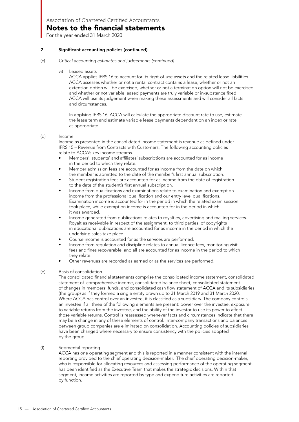Notes to the financial statements

For the year ended 31 March 2020

#### 2 Significant accounting policies (continued)

- (c) Critical accounting estimates and judgements (continued)
	- vi) Leased assets

ACCA applies IFRS 16 to account for its right-of-use assets and the related lease liabilities. ACCA assesses whether or not a rental contract contains a lease, whether or not an extension option will be exercised, whether or not a termination option will not be exercised and whether or not variable leased payments are truly variable or in-substance fixed. ACCA will use its judgement when making these assessments and will consider all facts and circumstances.

In applying IFRS 16, ACCA will calculate the appropriate discount rate to use, estimate the lease term and estimate variable lease payments dependant on an index or rate as appropriate.

#### (d) Income

Income as presented in the consolidated income statement is revenue as defined under IFRS 15 – Revenue from Contracts with Customers. The following accounting policies relate to ACCA's key income streams.

- Members', students' and affiliates' subscriptions are accounted for as income in the period to which they relate.
- Member admission fees are accounted for as income from the date on which the member is admitted to the date of the member's first annual subscription.
- Student registration fees are accounted for as income from the date of registration to the date of the student's first annual subscription.
- Income from qualifications and examinations relate to examination and exemption income from the professional qualification and our entry level qualifications. Examination income is accounted for in the period in which the related exam session took place, while exemption income is accounted for in the period in which it was awarded.
- Income generated from publications relates to royalties, advertising and mailing services. Royalties receivable in respect of the assignment, to third parties, of copyrights in educational publications are accounted for as income in the period in which the underlying sales take place.
- Course income is accounted for as the services are performed.
- Income from regulation and discipline relates to annual licence fees, monitoring visit fees and fines recoverable, and all are accounted for as income in the period to which they relate.
- Other revenues are recorded as earned or as the services are performed.
- (e) Basis of consolidation

The consolidated financial statements comprise the consolidated income statement, consolidated statement of comprehensive income, consolidated balance sheet, consolidated statement of changes in members' funds, and consolidated cash flow statement of ACCA and its subsidiaries (the group) as if they formed a single entity drawn up to 31 March 2019 and 31 March 2020. Where ACCA has control over an investee, it is classified as a subsidiary. The company controls an investee if all three of the following elements are present: power over the investee, exposure to variable returns from the investee, and the ability of the investor to use its power to affect those variable returns. Control is reassessed whenever facts and circumstances indicate that there may be a change in any of these elements of control. Inter-company transactions and balances between group companies are eliminated on consolidation. Accounting policies of subsidiaries have been changed where necessary to ensure consistency with the policies adopted by the group.

#### (f) Segmental reporting

ACCA has one operating segment and this is reported in a manner consistent with the internal reporting provided to the chief operating decision-maker. The chief operating decision-maker, who is responsible for allocating resources and assessing performance of the operating segment, has been identified as the Executive Team that makes the strategic decisions. Within that segment, income activities are reported by type and expenditure activities are reported by function.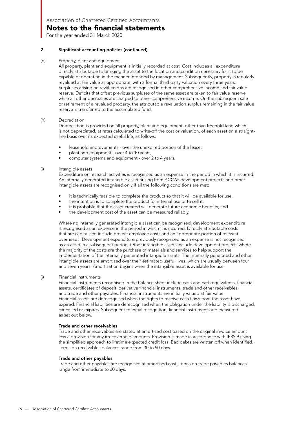For the year ended 31 March 2020

#### 2 Significant accounting policies (continued)

(g) Property, plant and equipment

All property, plant and equipment is initially recorded at cost. Cost includes all expenditure directly attributable to bringing the asset to the location and condition necessary for it to be capable of operating in the manner intended by management. Subsequently, property is regularly revalued at fair value as appropriate, with a formal third-party valuation every three years. Surpluses arising on revaluations are recognised in other comprehensive income and fair value reserve. Deficits that offset previous surpluses of the same asset are taken to fair value reserve while all other decreases are charged to other comprehensive income. On the subsequent sale or retirement of a revalued property, the attributable revaluation surplus remaining in the fair value reserve is transferred to the accumulated fund.

#### (h) Depreciation

Depreciation is provided on all property, plant and equipment, other than freehold land which is not depreciated, at rates calculated to write-off the cost or valuation, of each asset on a straightline basis over its expected useful life, as follows:

- leasehold improvements over the unexpired portion of the lease;
- plant and equipment over 4 to 10 years;
- computer systems and equipment over 2 to 4 years.

#### (i) Intangible assets

Expenditure on research activities is recognised as an expense in the period in which it is incurred. An internally generated intangible asset arising from ACCA's development projects and other intangible assets are recognised only if all the following conditions are met:

- it is technically feasible to complete the product so that it will be available for use,
- the intention is to complete the product for internal use or to sell it,
- it is probable that the asset created will generate future economic benefits, and
- the development cost of the asset can be measured reliably.

Where no internally generated intangible asset can be recognised, development expenditure is recognised as an expense in the period in which it is incurred. Directly attributable costs that are capitalised include project employee costs and an appropriate portion of relevant overheads. Development expenditure previously recognised as an expense is not recognised as an asset in a subsequent period. Other intangible assets include development projects where the majority of the costs are the purchase of materials and services to help support the implementation of the internally generated intangible assets. The internally generated and other intangible assets are amortised over their estimated useful lives, which are usually between four and seven years. Amortisation begins when the intangible asset is available for use.

#### (j) Financial instruments

Financial instruments recognised in the balance sheet include cash and cash equivalents, financial assets, certificates of deposit, derivative financial instruments, trade and other receivables and trade and other payables. Financial instruments are initially valued at fair value. Financial assets are derecognised when the rights to receive cash flows from the asset have expired. Financial liabilities are derecognised when the obligation under the liability is discharged, cancelled or expires. Subsequent to initial recognition, financial instruments are measured as set out below.

#### Trade and other receivables

Trade and other receivables are stated at amortised cost based on the original invoice amount less a provision for any irrecoverable amounts. Provision is made in accordance with IFRS 9 using the simplified approach to lifetime expected credit loss. Bad debts are written off when identified. Terms on receivables balances range from 30 to 90 days.

#### Trade and other payables

Trade and other payables are recognised at amortised cost. Terms on trade payables balances range from immediate to 30 days.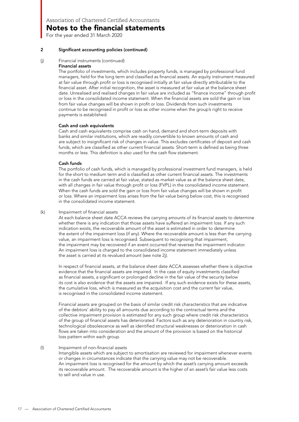For the year ended 31 March 2020

#### 2 Significant accounting policies (continued)

#### (j) Financial instruments (continued)

#### Financial assets

The portfolio of investments, which includes property funds, is managed by professional fund managers, held for the long term and classified as financial assets. An equity instrument measured at fair value through profit or loss is recognised initially at fair value directly attributable to the financial asset. After initial recognition, the asset is measured at fair value at the balance sheet date. Unrealised and realised changes in fair value are included as "finance income" through profit or loss in the consolidated income statement. When the financial assets are sold the gain or loss from fair value changes will be shown in profit or loss. Dividends from such investments continue to be recognised in profit or loss as other income when the group's right to receive payments is established.

#### Cash and cash equivalents

Cash and cash equivalents comprise cash on hand, demand and short-term deposits with banks and similar institutions, which are readily convertible to known amounts of cash and are subject to insignificant risk of changes in value. This excludes certificates of deposit and cash funds, which are classified as other current financial assets. Short-term is defined as being three months or less. This definition is also used for the cash flow statement.

#### Cash funds

The portfolio of cash funds, which is managed by professional investment fund managers, is held for the short to medium term and is classified as other current financial assets. The investments in the cash funds are carried at fair value, stated as market value as at the balance sheet date, with all changes in fair value through profit or loss (FVPL) in the consolidated income statement. When the cash funds are sold the gain or loss from fair value changes will be shown in profit or loss. Where an impairment loss arises from the fair value being below cost, this is recognised in the consolidated income statement.

#### (k) Impairment of financial assets

At each balance sheet date ACCA reviews the carrying amounts of its financial assets to determine whether there is any indication that those assets have suffered an impairment loss. If any such indication exists, the recoverable amount of the asset is estimated in order to determine the extent of the impairment loss (if any). Where the recoverable amount is less than the carrying value, an impairment loss is recognised. Subsequent to recognising that impairment, the impairment may be recovered if an event occurred that reverses the impairment indicator. An impairment loss is charged to the consolidated income statement immediately unless the asset is carried at its revalued amount (see note 2j).

In respect of financial assets, at the balance sheet date ACCA assesses whether there is objective evidence that the financial assets are impaired. In the case of equity investments classified as financial assets, a significant or prolonged decline in the fair value of the security below its cost is also evidence that the assets are impaired. If any such evidence exists for these assets, the cumulative loss, which is measured as the acquisition cost and the current fair value, is recognised in the consolidated income statement.

Financial assets are grouped on the basis of similar credit risk characteristics that are indicative of the debtors' ability to pay all amounts due according to the contractual terms and the collective impairment provision is estimated for any such group where credit risk characteristics of the group of financial assets has deteriorated. Factors such as any deterioration in country risk, technological obsolescence as well as identified structural weaknesses or deterioration in cash flows are taken into consideration and the amount of the provision is based on the historical loss pattern within each group.

#### (l) Impairment of non-financial assets

Intangible assets which are subject to amortisation are reviewed for impairment whenever events or changes in circumstances indicate that the carrying value may not be recoverable. An impairment loss is recognised for the amount by which the asset's carrying amount exceeds its recoverable amount. The recoverable amount is the higher of an asset's fair value less costs to sell and value in use.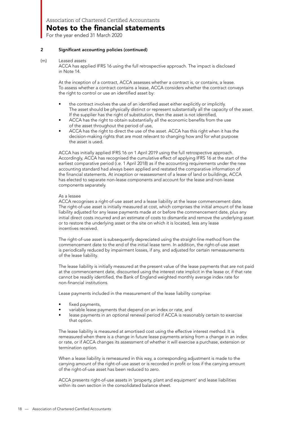For the year ended 31 March 2020

#### 2 Significant accounting policies (continued)

#### (m) Leased assets

ACCA has applied IFRS 16 using the full retrospective approach. The impact is disclosed in Note 14.

At the inception of a contract, ACCA assesses whether a contract is, or contains, a lease. To assess whether a contract contains a lease, ACCA considers whether the contract conveys the right to control or use an identified asset by:

- the contract involves the use of an identified asset either explicitly or implicitly. The asset should be physically distinct or represent substantially all the capacity of the asset. If the supplier has the right of substitution, then the asset is not identified,
- ACCA has the right to obtain substantially all the economic benefits from the use of the asset throughout the period of use,
- ACCA has the right to direct the use of the asset. ACCA has this right when it has the decision-making rights that are most relevant to changing how and for what purpose the asset is used.

ACCA has initially applied IFRS 16 on 1 April 2019 using the full retrospective approach. Accordingly, ACCA has recognised the cumulative effect of applying IFRS 16 at the start of the earliest comparative period (i.e. 1 April 2018) as if the accounting requirements under the new accounting standard had always been applied and restated the comparative information of the financial statements. At inception or reassessment of a lease of land or buildings, ACCA has elected to separate non-lease components and account for the lease and non-lease components separately.

#### As a lessee

ACCA recognises a right-of-use asset and a lease liability at the lease commencement date. The right-of-use asset is initially measured at cost, which comprises the initial amount of the lease liability adjusted for any lease payments made at or before the commencement date, plus any initial direct costs incurred and an estimate of costs to dismantle and remove the underlying asset or to restore the underlying asset or the site on which it is located, less any lease incentives received.

The right-of-use asset is subsequently depreciated using the straight-line method from the commencement date to the end of the initial lease term. In addition, the right-of-use asset is periodically reduced by impairment losses, if any, and adjusted for certain remeasurements of the lease liability.

The lease liability is initially measured at the present value of the lease payments that are not paid at the commencement date, discounted using the interest rate implicit in the lease or, if that rate cannot be readily identified, the Bank of England weighted monthly average index rate for non-financial institutions.

Lease payments included in the measurement of the lease liability comprise:

- fixed payments,
- variable lease payments that depend on an index or rate, and
- lease payments in an optional renewal period if ACCA is reasonably certain to exercise that option.

The lease liability is measured at amortised cost using the effective interest method. It is remeasured when there is a change in future lease payments arising from a change in an index or rate, or if ACCA changes its assessment of whether it will exercise a purchase, extension or termination option.

When a lease liability is remeasured in this way, a corresponding adjustment is made to the carrying amount of the right-of-use asset or is recorded in profit or loss if the carrying amount of the right-of-use asset has been reduced to zero.

ACCA presents right-of-use assets in 'property, plant and equipment' and lease liabilities within its own section in the consolidated balance sheet.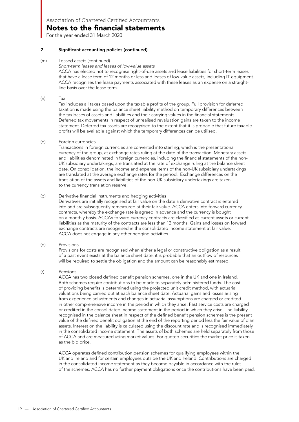### Notes to the financial statements

For the year ended 31 March 2020

#### 2 Significant accounting policies (continued)

#### (m) Leased assets (continued)

Short-term leases and leases of low-value assets

ACCA has elected not to recognise right-of-use assets and lease liabilities for short-term leases that have a lease term of 12 months or less and leases of low-value assets, including IT equipment. ACCA recognises the lease payments associated with these leases as an expense on a straightline basis over the lease term.

#### (n) Tax

Tax includes all taxes based upon the taxable profits of the group. Full provision for deferred taxation is made using the balance sheet liability method on temporary differences between the tax bases of assets and liabilities and their carrying values in the financial statements. Deferred tax movements in respect of unrealised revaluation gains are taken to the income statement. Deferred tax assets are recognised to the extent that it is probable that future taxable profits will be available against which the temporary differences can be utilised.

#### (o) Foreign currencies

Transactions in foreign currencies are converted into sterling, which is the presentational currency of the group, at exchange rates ruling at the date of the transaction. Monetary assets and liabilities denominated in foreign currencies, including the financial statements of the non-UK subsidiary undertakings, are translated at the rate of exchange ruling at the balance sheet date. On consolidation, the income and expense items of the non-UK subsidiary undertakings are translated at the average exchange rates for the period. Exchange differences on the translation of the assets and liabilities of the non-UK subsidiary undertakings are taken to the currency translation reserve.

#### (p) Derivative financial instruments and hedging activities

Derivatives are initially recognised at fair value on the date a derivative contract is entered into and are subsequently remeasured at their fair value. ACCA enters into forward currency contracts, whereby the exchange rate is agreed in advance and the currency is bought on a monthly basis. ACCA's forward currency contracts are classified as current assets or current liabilities as the maturity of the contracts are less than 12 months. Gains and losses on forward exchange contracts are recognised in the consolidated income statement at fair value. ACCA does not engage in any other hedging activities.

#### (q) Provisions

Provisions for costs are recognised when either a legal or constructive obligation as a result of a past event exists at the balance sheet date, it is probable that an outflow of resources will be required to settle the obligation and the amount can be reasonably estimated.

#### (r) Pensions

ACCA has two closed defined benefit pension schemes, one in the UK and one in Ireland. Both schemes require contributions to be made to separately administered funds. The cost of providing benefits is determined using the projected unit credit method, with actuarial valuations being carried out at each balance sheet date. Actuarial gains and losses arising from experience adjustments and changes in actuarial assumptions are charged or credited in other comprehensive income in the period in which they arise. Past service costs are charged or credited in the consolidated income statement in the period in which they arise. The liability recognised in the balance sheet in respect of the defined benefit pension schemes is the present value of the defined benefit obligation at the end of the reporting period less the fair value of plan assets. Interest on the liability is calculated using the discount rate and is recognised immediately in the consolidated income statement. The assets of both schemes are held separately from those of ACCA and are measured using market values. For quoted securities the market price is taken as the bid price.

ACCA operates defined contribution pension schemes for qualifying employees within the UK and Ireland and for certain employees outside the UK and Ireland. Contributions are charged in the consolidated income statement as they become payable in accordance with the rules of the schemes. ACCA has no further payment obligations once the contributions have been paid.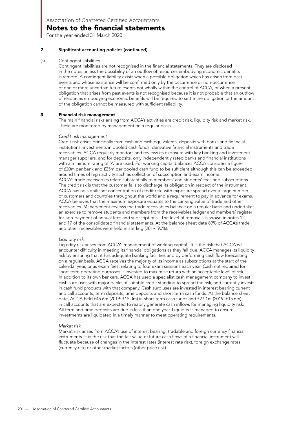For the year ended 31 March 2020

#### 2 Significant accounting policies (continued)

#### (s) Contingent liabilities

Contingent liabilities are not recognised in the financial statements. They are disclosed in the notes unless the possibility of an outflow of resources embodying economic benefits is remote. A contingent liability exists when a possible obligation which has arisen from past events and whose existence will be confirmed only by the occurrence or non-occurrence of one or more uncertain future events not wholly within the control of ACCA, or when a present obligation that arises from past events is not recognised because it is not probable that an outflow of resources embodying economic benefits will be required to settle the obligation or the amount of the obligation cannot be measured with sufficient reliability.

#### 3 Financial risk management

The main financial risks arising from ACCA's activities are credit risk, liquidity risk and market risk. These are monitored by management on a regular basis.

#### Credit risk management

Credit risk arises principally from cash and cash equivalents, deposits with banks and financial institutions, investments in pooled cash funds, derivative financial instruments and trade receivables. ACCA regularly monitors and reviews its exposure with key banking and investment manager suppliers, and for deposits, only independently rated banks and financial institutions with a minimum rating of 'A' are used. For working capital balances ACCA considers a figure of £20m per bank and £25m per pooled cash fund to be sufficient although this can be exceeded around times of high activity such as collection of subscription and exam income. ACCA's trade receivables relate substantially to members' and students' fees and subscriptions. The credit risk is that the customer fails to discharge its obligation in respect of the instrument. ACCA has no significant concentration of credit risk, with exposure spread over a large number of customers and countries throughout the world and a requirement to pay in advance for exams. ACCA believes that the maximum exposure equates to the carrying value of trade and other receivables. Management reviews the trade receivables balance on a regular basis and undertakes an exercise to remove students and members from the receivables ledger and members' register for non-payment of annual fees and subscriptions. The level of removals is shown in notes 12 and 17 of the consolidated financial statements. At the balance sheet date 89% of ACCA's trade and other receivables were held in sterling (2019: 90%).

#### Liquidity risk

Liquidity risk arises from ACCA's management of working capital. It is the risk that ACCA will encounter difficulty in meeting its financial obligations as they fall due. ACCA manages its liquidity risk by ensuring that it has adequate banking facilities and by performing cash flow forecasting on a regular basis. ACCA receives the majority of its income as subscriptions at the start of the calendar year, or as exam fees, relating to four exam sessions each year. Cash not required for short-term operating purposes is invested to maximise return with an acceptable level of risk. In addition to its own bankers, ACCA has used a specialist cash management company to invest cash surpluses with major banks of suitable credit standing to spread the risk, and currently invests in cash fund products with that company. Cash surpluses are invested in interest bearing current and call accounts, term deposits, time deposits and short-term cash funds. At the balance sheet date, ACCA held £45.6m (2019: £15.0m) in short-term cash funds and £27.1m (2019: £15.6m) in call accounts that are expected to readily generate cash inflows for managing liquidity risk. All term and time deposits are due in less than one year. Liquidity is managed to ensure investments are liquidated in a timely manner to meet operating requirements.

#### Market risk

Market risk arises from ACCA's use of interest bearing, tradable and foreign currency financial instruments. It is the risk that the fair value of future cash flows of a financial instrument will fluctuate because of changes in the interest rates (interest rate risk), foreign exchange rates (currency risk) or other market factors (other price risk).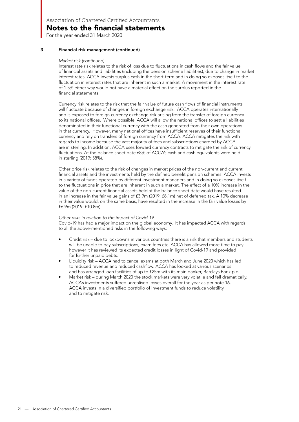For the year ended 31 March 2020

#### 3 Financial risk management (continued)

#### Market risk (continued)

Interest rate risk relates to the risk of loss due to fluctuations in cash flows and the fair value of financial assets and liabilities (including the pension scheme liabilities), due to change in market interest rates. ACCA invests surplus cash in the short-term and in doing so exposes itself to the fluctuation in interest rates that are inherent in such a market. A movement in the interest rate of 1.5% either way would not have a material effect on the surplus reported in the financial statements.

Currency risk relates to the risk that the fair value of future cash flows of financial instruments will fluctuate because of changes in foreign exchange risk. ACCA operates internationally and is exposed to foreign currency exchange risk arising from the transfer of foreign currency to its national offices. Where possible, ACCA will allow the national offices to settle liabilities denominated in their functional currency with the cash generated from their own operations in that currency. However, many national offices have insufficient reserves of their functional currency and rely on transfers of foreign currency from ACCA. ACCA mitigates the risk with regards to income because the vast majority of fees and subscriptions charged by ACCA are in sterling. In addition, ACCA uses forward currency contracts to mitigate the risk of currency fluctuations. At the balance sheet date 68% of ACCA's cash and cash equivalents were held in sterling (2019: 58%).

Other price risk relates to the risk of changes in market prices of the non-current and current financial assets and the investments held by the defined benefit pension schemes. ACCA invests in a variety of funds operated by different investment managers and in doing so exposes itself to the fluctuations in price that are inherent in such a market. The effect of a 10% increase in the value of the non-current financial assets held at the balance sheet date would have resulted in an increase in the fair value gains of £3.9m (2019: £8.1m) net of deferred tax. A 10% decrease in their value would, on the same basis, have resulted in the increase in the fair value losses by £6.9m (2019: £10.8m).

#### Other risks in relation to the impact of Covid-19

Covid-19 has had a major impact on the global economy. It has impacted ACCA with regards to all the above-mentioned risks in the following ways:

- Credit risk due to lockdowns in various countries there is a risk that members and students will be unable to pay subscriptions, exam fees etc. ACCA has allowed more time to pay however it has reviewed its expected credit losses in light of Covid-19 and provided for further unpaid debts.
- Liquidity risk ACCA had to cancel exams at both March and June 2020 which has led to reduced revenue and reduced cashflow. ACCA has looked at various scenarios and has arranged loan facilities of up to £25m with its main banker, Barclays Bank plc.
- Market risk during March 2020 the stock markets were very volatile and fell dramatically. ACCA's investments suffered unrealised losses overall for the year as per note 16. ACCA invests in a diversified portfolio of investment funds to reduce volatility and to mitigate risk.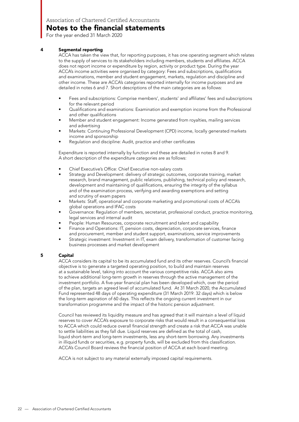For the year ended 31 March 2020

#### 4 Segmental reporting

ACCA has taken the view that, for reporting purposes, it has one operating segment which relates to the supply of services to its stakeholders including members, students and affiliates. ACCA does not report income or expenditure by region, activity or product type. During the year ACCA's income activities were organised by category: Fees and subscriptions, qualifications and examinations, member and student engagement, markets, regulation and discipline and other income. These are ACCA's categories reported internally for income purposes and are detailed in notes 6 and 7. Short descriptions of the main categories are as follows:

- Fees and subscriptions: Comprise members', students' and affiliates' fees and subscriptions for the relevant period
- Qualifications and examinations: Examination and exemption income from the Professional and other qualifications
- Member and student engagement: Income generated from royalties, mailing services and advertising
- Markets: Continuing Professional Development (CPD) income, locally generated markets income and sponsorship
- Regulation and discipline: Audit, practice and other certificates

Expenditure is reported internally by function and these are detailed in notes 8 and 9. A short description of the expenditure categories are as follows:

- Chief Executive's Office: Chief Executive non-salary costs
- Strategy and Development: delivery of strategic outcomes, corporate training, market research, brand management, public relations, publishing, technical policy and research, development and maintaining of qualifications, ensuring the integrity of the syllabus and of the examination process, verifying and awarding exemptions and setting and scrutiny of exam papers
- Markets: Staff, operational and corporate marketing and promotional costs of ACCA's global operations and IFAC costs
- Governance: Regulation of members, secretariat, professional conduct, practice monitoring, legal services and internal audit
- People: Human Resources, corporate recruitment and talent and capability
- Finance and Operations: IT, pension costs, depreciation, corporate services, finance and procurement, member and student support, examinations, service improvements
- Strategic investment: Investment in IT, exam delivery, transformation of customer facing business processes and market development

#### 5 Capital

ACCA considers its capital to be its accumulated fund and its other reserves. Council's financial objective is to generate a targeted operating position, to build and maintain reserves at a sustainable level, taking into account the various competitive risks. ACCA also aims to achieve additional long-term growth in reserves through the active management of the investment portfolio. A five-year financial plan has been developed which, over the period of the plan, targets an agreed level of accumulated fund. At 31 March 2020, the Accumulated Fund represented 48 days of operating expenditure (31 March 2019: 32 days) which is below the long-term aspiration of 60 days. This reflects the ongoing current investment in our transformation programme and the impact of the historic pension adjustment.

Council has reviewed its liquidity measure and has agreed that it will maintain a level of liquid reserves to cover ACCA's exposure to corporate risks that would result in a consequential loss to ACCA which could reduce overall financial strength and create a risk that ACCA was unable to settle liabilities as they fall due. Liquid reserves are defined as the total of cash, liquid short-term and long-term investments, less any short-term borrowing. Any investments in illiquid funds or securities, e.g. property funds, will be excluded from this classification. ACCA's Council Board reviews the financial position of ACCA at each board meeting.

ACCA is not subject to any material externally imposed capital requirements.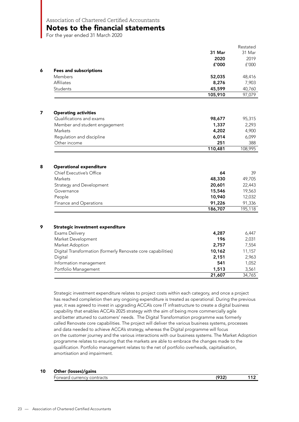### Notes to the financial statements

For the year ended 31 March 2020

|   |                                                              |         | Restated |
|---|--------------------------------------------------------------|---------|----------|
|   |                                                              | 31 Mar  | 31 Mar   |
|   |                                                              | 2020    | 2019     |
|   |                                                              | £'000   | f'000    |
| 6 | <b>Fees and subscriptions</b>                                |         |          |
|   | Members                                                      | 52,035  | 48,416   |
|   | Affiliates                                                   | 8,276   | 7,903    |
|   | Students                                                     | 45,599  | 40,760   |
|   |                                                              | 105,910 | 97,079   |
|   |                                                              |         |          |
|   | <b>Operating activities</b>                                  |         |          |
|   | Qualifications and exams                                     | 98,677  | 95,315   |
|   | Member and student engagement                                | 1,337   | 2,293    |
|   | Markets                                                      | 4,202   | 4,900    |
|   | Regulation and discipline                                    | 6,014   | 6,099    |
|   | Other income                                                 | 251     | 388      |
|   |                                                              | 110,481 | 108,995  |
| 8 | <b>Operational expenditure</b><br>Chief Executive's Office   | 64      | 39       |
|   | Markets                                                      | 48,330  | 49,705   |
|   | Strategy and Development                                     | 20,601  | 22,443   |
|   | Governance                                                   | 15,546  | 19,563   |
|   | People                                                       | 10,940  | 12,032   |
|   | Finance and Operations                                       | 91,226  | 91,336   |
|   |                                                              | 186,707 | 195,118  |
|   |                                                              |         |          |
|   | Strategic investment expenditure                             |         |          |
|   | Exams Delivery                                               | 4,287   | 6,447    |
|   | Market Development                                           | 196     | 2,031    |
|   | Market Adoption                                              | 2,757   | 7,554    |
|   | Digital Transformation (formerly Renovate core capabilities) | 10,162  | 11,157   |
|   | Digital                                                      | 2,151   | 2,963    |
|   | Information management                                       | 541     | 1,052    |
|   | Portfolio Management                                         | 1,513   | 3,561    |
|   |                                                              | 21,607  | 34,765   |

Strategic investment expenditure relates to project costs within each category, and once a project has reached completion then any ongoing expenditure is treated as operational. During the previous year, it was agreed to invest in upgrading ACCA's core IT infrastructure to create a digital business capability that enables ACCA's 2025 strategy with the aim of being more commercially agile and better attuned to customers' needs. The Digital Transformation programme was formerly called Renovate core capabilities. The project will deliver the various business systems, processes and data needed to achieve ACCA's strategy, whereas the Digital programme will focus on the customer journey and the various interactions with our business systems. The Market Adoption programme relates to ensuring that the markets are able to embrace the changes made to the qualification. Portfolio management relates to the net of portfolio overheads, capitalisation, amortisation and impairment.

#### 10 Other (losses)/gains

| $\overline{\phantom{0}}$<br>currencv contracts<br>Forward<br>cur. | יר רחו | - - |
|-------------------------------------------------------------------|--------|-----|
|                                                                   |        |     |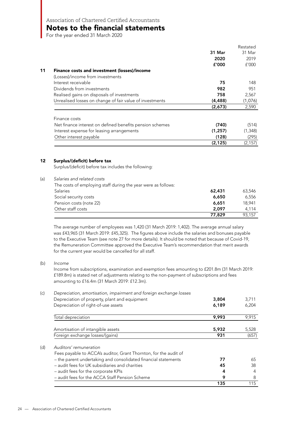### Notes to the financial statements

For the year ended 31 March 2020

|                                                          |          | Restated |
|----------------------------------------------------------|----------|----------|
|                                                          | 31 Mar   | 31 Mar   |
|                                                          | 2020     | 2019     |
|                                                          | £'000    | f'000    |
| Finance costs and investment (losses)/income<br>11       |          |          |
| (Losses)/income from investments                         |          |          |
| Interest receivable                                      | 75       | 148      |
| Dividends from investments                               | 982      | 951      |
| Realised gains on disposals of investments               | 758      | 2,567    |
| Unrealised losses on change of fair value of investments | (4, 488) | (1,076)  |
|                                                          | (2,673)  | 2,590    |
| Finance costs                                            |          |          |
| Net finance interest on defined benefits pension schemes | (740)    | (514)    |
| Interest expense for leasing arrangements                | (1, 257) | (1, 348) |
|                                                          |          |          |
| Other interest payable                                   | (128)    | (295)    |
|                                                          | (2, 125) | (2, 157) |

#### 12 Surplus/(deficit) before tax

Surplus/(deficit) before tax includes the following:

| (a) | Salaries and related costs                                    |        |        |  |  |
|-----|---------------------------------------------------------------|--------|--------|--|--|
|     | The costs of employing staff during the year were as follows: |        |        |  |  |
|     | <b>Salaries</b>                                               | 62,431 | 63,546 |  |  |
|     | Social security costs                                         | 6,650  | 6,556  |  |  |
|     | Pension costs (note 22)                                       | 6,651  | 18.941 |  |  |
|     | Other staff costs                                             | 2,097  | 4.114  |  |  |
|     |                                                               | 77,829 | 93.157 |  |  |

The average number of employees was 1,420 (31 March 2019: 1,402). The average annual salary was £43,965 (31 March 2019: £45,325). The figures above include the salaries and bonuses payable to the Executive Team (see note 27 for more details). It should be noted that because of Covid-19, the Remuneration Committee approved the Executive Team's recommendation that merit awards for the current year would be cancelled for all staff.

#### (b) *Income*

Income from subscriptions, examination and exemption fees amounting to £201.8m (31 March 2019: £189.8m) is stated net of adjustments relating to the non-payment of subscriptions and fees amounting to £16.4m (31 March 2019: £12.3m).

| (c) | Depreciation, amortisation, impairment and foreign exchange losses |       |       |
|-----|--------------------------------------------------------------------|-------|-------|
|     | Depreciation of property, plant and equipment                      | 3,804 | 3,711 |
|     | Depreciation of right-of-use assets                                | 6,189 | 6,204 |
|     | Total depreciation                                                 | 9,993 | 9,915 |
|     | Amortisation of intangible assets                                  | 5,932 | 5,528 |
|     | Foreign exchange losses/(gains)                                    | 931   | (657) |
| (d) | Auditors' remuneration                                             |       |       |
|     | Fees payable to ACCA's auditor, Grant Thornton, for the audit of   |       |       |
|     | - the parent undertaking and consolidated financial statements     | 77    | 65    |
|     | - audit fees for UK subsidiaries and charities                     | 45    | 38    |
|     | - audit fees for the corporate KPIs                                | 4     | 4     |
|     | - audit fees for the ACCA Staff Pension Scheme                     | 9     | 8     |
|     |                                                                    | 135   | 115   |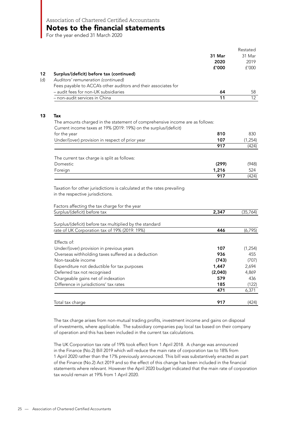For the year ended 31 March 2020

|                                                                                   |                | Restated        |
|-----------------------------------------------------------------------------------|----------------|-----------------|
|                                                                                   | 31 Mar         | 31 Mar          |
|                                                                                   | 2020           | 2019            |
|                                                                                   | f'000          | f'000           |
| Surplus/(deficit) before tax (continued)                                          |                |                 |
| Auditors' remuneration (continued)                                                |                |                 |
| Fees payable to ACCA's other auditors and their associates for                    |                |                 |
| - audit fees for non-UK subsidiaries                                              | 64             | 58              |
| non-audit services in China                                                       | 11             | 12 <sup>°</sup> |
| <b>Tax</b>                                                                        |                |                 |
| The amounts charged in the statement of comprehensive income are as follows:      |                |                 |
| Current income taxes at 19% (2019: 19%) on the surplus/(deficit)                  |                |                 |
| for the year                                                                      | 810            | 830             |
| Under/(over) provision in respect of prior year                                   | 107            | (1, 254)        |
|                                                                                   | 917            | (424)           |
|                                                                                   |                |                 |
| The current tax charge is split as follows:<br>Domestic                           |                | (948)           |
|                                                                                   | (299)<br>1,216 | 524             |
| Foreign                                                                           | 917            | (424)           |
| in the respective jurisdictions.<br>Factors affecting the tax charge for the year |                |                 |
| Surplus/(deficit) before tax                                                      | 2,347          | (35,764)        |
|                                                                                   |                |                 |
| Surplus/(deficit) before tax multiplied by the standard                           |                |                 |
| rate of UK Corporation tax of 19% (2019: 19%)                                     | 446            | (6, 795)        |
| Effects of:                                                                       |                |                 |
| Under/(over) provision in previous years                                          | 107            | (1,254)         |
| Overseas withholding taxes suffered as a deduction                                | 936            | 455             |
| Non-taxable income                                                                | (743)          | (707)           |
| Expenditure not deductible for tax purposes                                       | 1,447          | 2,694           |
| Deferred tax not recognised                                                       | (2,040)        | 4,869           |
| Chargeable gains net of indexation                                                | 579            | 436             |
| Difference in jurisdictions' tax rates                                            | 185            | (122)           |
|                                                                                   | 471            | 6,371           |
|                                                                                   |                |                 |
| Total tax charge                                                                  | 917            | (424)           |

The tax charge arises from non-mutual trading profits, investment income and gains on disposal of investments, where applicable. The subsidiary companies pay local tax based on their company of operation and this has been included in the current tax calculations.

The UK Corporation tax rate of 19% took effect from 1 April 2018. A change was announced in the Finance (No.2) Bill 2019 which will reduce the main rate of corporation tax to 18% from 1 April 2020 rather than the 17% previously announced. This bill was substantively enacted as part of the Finance (No.2) Act 2019 and so the effect of this change has been included in the financial statements where relevant. However the April 2020 budget indicated that the main rate of corporation tax would remain at 19% from 1 April 2020.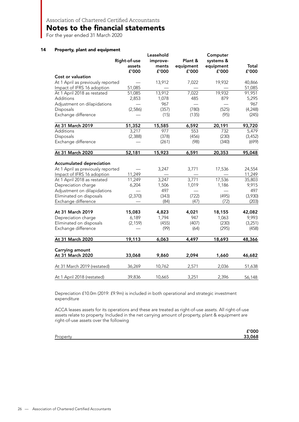For the year ended 31 March 2020

#### 14 Property, plant and equipment

|                                   |              | Leasehold |           | Computer  |          |
|-----------------------------------|--------------|-----------|-----------|-----------|----------|
|                                   | Right-of-use | improve-  | Plant &   | systems & |          |
|                                   | assets       | ments     | equipment | equipment | Total    |
|                                   | £'000        | f'000     | £'000     | £'000     | £'000    |
| Cost or valuation                 |              |           |           |           |          |
| At 1 April as previously reported |              | 13,912    | 7,022     | 19,932    | 40,866   |
| Impact of IFRS 16 adoption        | 51,085       |           |           |           | 51,085   |
| At 1 April 2018 as restated       | 51,085       | 13,912    | 7,022     | 19,932    | 91,951   |
| Additions                         | 2,853        | 1,078     | 485       | 879       | 5,295    |
| Adjustment on dilapidations       |              | 967       |           |           | 967      |
| Disposals                         | (2,586)      | (357)     | (780)     | (525)     | (4, 248) |
| Exchange difference               |              | (15)      | (135)     | (95)      | (245)    |
| At 31 March 2019                  | 51,352       | 15,585    | 6,592     | 20,191    | 93,720   |
| Additions                         | 3,217        | 977       | 553       | 732       | 5,479    |
| Disposals                         | (2, 388)     | (378)     | (456)     | (230)     | (3, 452) |
| Exchange difference               |              | (261)     | (98)      | (340)     | (699)    |
| At 31 March 2020                  | 52,181       | 15,923    | 6,591     | 20,353    | 95,048   |
|                                   |              |           |           |           |          |
| <b>Accumulated depreciation</b>   |              |           |           |           |          |
| At 1 April as previously reported |              | 3,247     | 3,771     | 17,536    | 24,554   |
| Impact of IFRS 16 adoption        | 11,249       |           |           |           | 11,249   |
| At 1 April 2018 as restated       | 11,249       | 3,247     | 3,771     | 17,536    | 35,803   |
| Depreciation charge               | 6,204        | 1,506     | 1,019     | 1,186     | 9,915    |
| Adjustment on dilapidations       |              | 497       |           |           | 497      |
| Eliminated on disposals           | (2, 370)     | (343)     | (722)     | (495)     | (3,930)  |
| Exchange difference               |              | (84)      | (47)      | (72)      | (203)    |
| At 31 March 2019                  | 15,083       | 4,823     | 4,021     | 18,155    | 42,082   |
| Depreciation charge               | 6,189        | 1,794     | 947       | 1,063     | 9,993    |
| Eliminated on disposals           | (2, 159)     | (455)     | (407)     | (230)     | (3,251)  |
| Exchange difference               |              | (99)      | (64)      | (295)     | (458)    |
| At 31 March 2020                  | 19,113       | 6,063     | 4,497     | 18,693    | 48,366   |
|                                   |              |           |           |           |          |
| Carrying amount                   |              |           |           |           |          |
| At 31 March 2020                  | 33,068       | 9,860     | 2,094     | 1,660     | 46,682   |
| At 31 March 2019 (restated)       | 36,269       | 10,762    | 2,571     | 2,036     | 51,638   |
| At 1 April 2018 (restated)        |              |           |           |           |          |

Depreciation £10.0m (2019: £9.9m) is included in both operational and strategic investment expenditure

ACCA leases assets for its operations and these are treated as right-of-use assets. All right-of-use assets relate to property. Included in the net carrying amount of property, plant & equipment are right-of-use assets over the following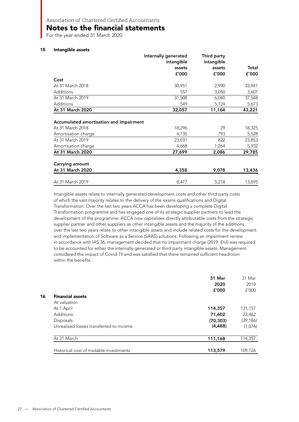Notes to the financial statements

For the year ended 31 March 2020

#### 15 Intangible assets

|                                                                                                        | Internally generated<br>intangible | Third party<br>intangible |                                     |
|--------------------------------------------------------------------------------------------------------|------------------------------------|---------------------------|-------------------------------------|
|                                                                                                        | assets                             | assets                    | Total                               |
|                                                                                                        | f'000                              | f'000                     | £'000                               |
| Cost                                                                                                   |                                    |                           |                                     |
| At 31 March 2018                                                                                       | 30,951                             | 2,990                     | 33,941                              |
| <b>Additions</b>                                                                                       | 557                                | 3,050                     | 3,607                               |
| At 31 March 2019                                                                                       | 31,508                             | 6,040                     | 37,548                              |
| Additions                                                                                              | 549                                | 5,124                     | 5,673                               |
| At 31 March 2020                                                                                       | 32,057                             | 11,164                    | 43,221                              |
| Accumulated amortisation and impairment                                                                |                                    |                           |                                     |
|                                                                                                        | 18,296                             | 29                        | 18,325                              |
|                                                                                                        | 4,735                              | 793                       | 5,528                               |
|                                                                                                        | 23,031                             | 822                       |                                     |
| At 31 March 2018<br>Amortisation charge<br>At 31 March 2019<br>Amortisation charge<br>At 31 March 2020 | 4,668<br>27,699                    | 1,264<br>2,086            |                                     |
| Carrying amount                                                                                        |                                    |                           |                                     |
| At 31 March 2020                                                                                       | 4,358                              | 9,078                     | 23,853<br>5,932<br>29,785<br>13,436 |

Intangible assets relate to internally generated development costs and other third party costs of which the vast majority relates to the delivery of the exams qualifications and Digital Transformation. Over the last two years ACCA has been developing a complete Digital Transformation programme and has engaged one of its strategic supplier partners to lead the development of the programme. ACCA now capitalises directly attributable costs from the strategic supplier partner and other suppliers as other intangible assets and the majority of the additions over the last two years relate to other intangible assets and include related costs for the development and implementation of Software as a Service (SAAS) solutions. Following an impairment review in accordance with IAS 36, management decided that no impairment charge (2019: £nil) was required to be accounted for either the internally generated or third party intangible assets. Management considered the impact of Covid-19 and was satisfied that there remained sufficient headroom within the benefits.

|                                         | 31 Mar<br>2020 | 31 Mar<br>2019 |
|-----------------------------------------|----------------|----------------|
|                                         | f'000          | f'000          |
| <b>Financial assets</b>                 |                |                |
| At valuation                            |                |                |
| At 1 April                              | 114,357        | 131,157        |
| <b>Additions</b>                        | 71,602         | 23,462         |
| Disposals                               | (70, 303)      | (39, 186)      |
| Unrealised losses transferred to income | (4, 488)       | (1,076)        |
| At 31 March                             | 111,168        | 114,357        |
|                                         |                |                |
| Historical cost of tradable investments | 113,579        | 109,126        |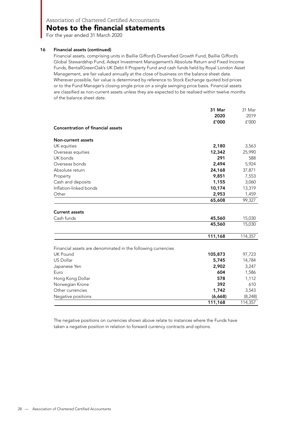### Notes to the financial statements

For the year ended 31 March 2020

#### 16 Financial assets (continued)

Financial assets, comprising units in Baillie Gifford's Diversified Growth Fund, Baillie Gifford's Global Stewardship Fund, Adept Investment Management's Absolute Return and Fixed Income Funds, BentallGreenOak's UK Debt II Property Fund and cash funds held by Royal London Asset Management, are fair valued annually at the close of business on the balance sheet date. Wherever possible, fair value is determined by reference to Stock Exchange quoted bid prices or to the Fund Manager's closing single price on a single swinging price basis. Financial assets are classified as non-current assets unless they are expected to be realised within twelve months of the balance sheet date.

|                                                              | 31 Mar<br>2020   | 31 Mar<br>2019   |
|--------------------------------------------------------------|------------------|------------------|
|                                                              | £'000            | f'000            |
| <b>Concentration of financial assets</b>                     |                  |                  |
| <b>Non-current assets</b>                                    |                  |                  |
| UK equities                                                  | 2,180            | 3,563            |
| Overseas equities                                            | 12,342           | 25,990           |
| UK bonds                                                     | 291              |                  |
| Overseas bonds                                               | 2,494            | 5,924            |
| Absolute return                                              | 24,168           | 37,871           |
| Property                                                     | 9,851            | 7,553            |
| Cash and deposits                                            | 1,155            | 3,060            |
| Inflation-linked bonds                                       | 10,174           | 13,319           |
| Other                                                        | 2,953            | 1,459            |
|                                                              | 65,608           | 99,327           |
| <b>Current assets</b><br>Cash funds                          | 45,560<br>45,560 | 15,030<br>15,030 |
|                                                              | 111,168          | 114,357          |
| Financial assets are denominated in the following currencies |                  |                  |
| <b>UK Pound</b>                                              | 105,873          | 97,723           |
| US Dollar                                                    | 5,745            | 14,784           |
| Japanese Yen                                                 | 2,902            | 3,247            |
| Euro                                                         | 604              | 1,586            |
| Hong Kong Dollar                                             | 578              | 1,112            |
| Norwegian Krone                                              | 392              |                  |
| Other currencies                                             | 1,742            | 3,543            |
| Negative positions                                           | (6,668)          | (8, 248)         |
|                                                              | 111,168          | 114,357          |

The negative positions on currencies shown above relate to instances where the Funds have taken a negative position in relation to forward currency contracts and options.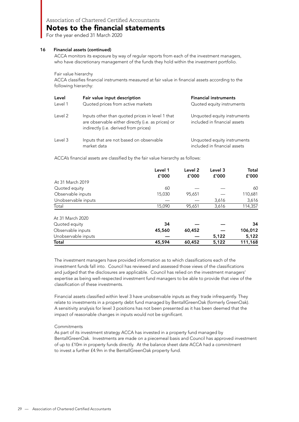### Notes to the financial statements

For the year ended 31 March 2020

#### 16 Financial assets (continued)

ACCA monitors its exposure by way of regular reports from each of the investment managers, who have discretionary management of the funds they hold within the investment portfolio.

Fair value hierarchy

ACCA classifies financial instruments measured at fair value in financial assets according to the following hierarchy:

| Level<br>Level 1 | Fair value input description<br>Quoted prices from active markets                                                                              | <b>Financial instruments</b><br>Quoted equity instruments   |
|------------------|------------------------------------------------------------------------------------------------------------------------------------------------|-------------------------------------------------------------|
| Level 2          | Inputs other than quoted prices in level 1 that<br>are observable either directly (i.e. as prices) or<br>indirectly (i.e. derived from prices) | Unquoted equity instruments<br>included in financial assets |
| Level 3          | Inputs that are not based on observable<br>market data                                                                                         | Unquoted equity instruments<br>included in financial assets |

ACCA's financial assets are classified by the fair value hierarchy as follows:

|                     | Level 1<br>£'000 | Level 2<br>f'000 | Level 3<br>f'000 | Total<br>£'000 |
|---------------------|------------------|------------------|------------------|----------------|
| At 31 March 2019    |                  |                  |                  |                |
| Quoted equity       | 60               |                  |                  | 60             |
| Observable inputs   | 15,030           | 95,651           |                  | 110,681        |
| Unobservable inputs |                  |                  | 3,616            | 3,616          |
| Total               | 15,090           | 95,651           | 3,616            | 114,357        |
| At 31 March 2020    |                  |                  |                  |                |
| Quoted equity       | 34               |                  |                  | 34             |
| Observable inputs   | 45,560           | 60,452           |                  | 106,012        |
| Unobservable inputs |                  |                  | 5,122            | 5,122          |
| Total               | 45,594           | 60,452           | 5,122            | 111,168        |

The investment managers have provided information as to which classifications each of the investment funds fall into. Council has reviewed and assessed those views of the classifications and judged that the disclosures are applicable. Council has relied on the investment managers' expertise as being well-respected investment fund managers to be able to provide that view of the classification of these investments.

Financial assets classified within level 3 have unobservable inputs as they trade infrequently. They relate to investments in a property debt fund managed by BentallGreenOak (formerly GreenOak). A sensitivity analysis for level 3 positions has not been presented as it has been deemed that the impact of reasonable changes in inputs would not be significant.

#### Commitments

As part of its investment strategy ACCA has invested in a property fund managed by BentallGreenOak. Investments are made on a piecemeal basis and Council has approved investment of up to £10m in property funds directly. At the balance sheet date ACCA had a commitment to invest a further £4.9m in the BentallGreenOak property fund.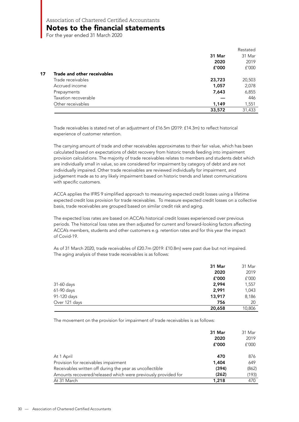# Notes to the financial statements

For the year ended 31 March 2020

|    |                             |        | Restated |
|----|-----------------------------|--------|----------|
|    |                             | 31 Mar | 31 Mar   |
|    |                             | 2020   | 2019     |
|    |                             | f'000  | f'000    |
| 17 | Trade and other receivables |        |          |
|    | Trade receivables           | 23,723 | 20,503   |
|    | Accrued income              | 1,057  | 2,078    |
|    | Prepayments                 | 7,643  | 6,855    |
|    | Taxation recoverable        |        | 446      |
|    | Other receivables           | 1,149  | 1,551    |
|    |                             | 33,572 | 31,433   |

Trade receivables is stated net of an adjustment of £16.5m (2019: £14.3m) to reflect historical experience of customer retention.

The carrying amount of trade and other receivables approximates to their fair value, which has been calculated based on expectations of debt recovery from historic trends feeding into impairment provision calculations. The majority of trade receivables relates to members and students debt which are individually small in value, so are considered for impairment by category of debt and are not individually impaired. Other trade receivables are reviewed individually for impairment, and judgement made as to any likely impairment based on historic trends and latest communications with specific customers.

ACCA applies the IFRS 9 simplified approach to measuring expected credit losses using a lifetime expected credit loss provision for trade receivables. To measure expected credit losses on a collective basis, trade receivables are grouped based on similar credit risk and aging.

The expected loss rates are based on ACCA's historical credit losses experienced over previous periods. The historical loss rates are then adjusted for current and forward-looking factors affecting ACCA's members, students and other customers e.g. retention rates and for this year the impact of Covid-19.

As of 31 March 2020, trade receivables of £20.7m (2019: £10.8m) were past due but not impaired. The aging analysis of these trade receivables is as follows:

|               | 31 Mar | 31 Mar |
|---------------|--------|--------|
|               | 2020   | 2019   |
|               | £'000  | f'000  |
| 31-60 days    | 2,994  | 1,557  |
| 61-90 days    | 2,991  | 1,043  |
| 91-120 days   | 13,917 | 8,186  |
| Over 121 days | 756    | 20     |
|               | 20,658 | 10,806 |

The movement on the provision for impairment of trade receivables is as follows:

|                                                               | 31 Mar<br>2020<br>f'000 | 31 Mar<br>2019<br>f'000 |
|---------------------------------------------------------------|-------------------------|-------------------------|
| At 1 April                                                    | 470                     | 876                     |
| Provision for receivables impairment                          | 1,404                   | 649                     |
| Receivables written off during the year as uncollectible      | (394)                   | (862)                   |
| Amounts recovered/released which were previously provided for | (262)                   | (193)                   |
| At 31 March                                                   | 1,218                   | 470                     |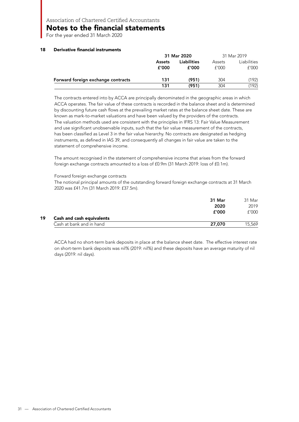Notes to the financial statements

For the year ended 31 March 2020

#### 18 Derivative financial instruments

|                                    | 31 Mar 2020 |                    | 31 Mar 2019 |             |
|------------------------------------|-------------|--------------------|-------------|-------------|
|                                    | Assets      | <b>Liabilities</b> | Assets      | Liabilities |
|                                    | f'000       | £'000              | f'000       | f'000       |
| Forward foreign exchange contracts | 131         | (951)              | 304         | (192)       |
|                                    | 131         | (951)              | 304         | (192)       |

The contracts entered into by ACCA are principally denominated in the geographic areas in which ACCA operates. The fair value of these contracts is recorded in the balance sheet and is determined by discounting future cash flows at the prevailing market rates at the balance sheet date. These are known as mark-to-market valuations and have been valued by the providers of the contracts. The valuation methods used are consistent with the principles in IFRS 13: Fair Value Measurement and use significant unobservable inputs, such that the fair value measurement of the contracts, has been classified as Level 3 in the fair value hierarchy. No contracts are designated as hedging instruments, as defined in IAS 39, and consequently all changes in fair value are taken to the statement of comprehensive income.

The amount recognised in the statement of comprehensive income that arises from the forward foreign exchange contracts amounted to a loss of £0.9m (31 March 2019: loss of £0.1m).

#### Forward foreign exchange contracts

The notional principal amounts of the outstanding forward foreign exchange contracts at 31 March 2020 was £41.7m (31 March 2019: £37.5m).

|    |                           | 31 Mar | 31 Mar |
|----|---------------------------|--------|--------|
|    |                           | 2020   | 2019   |
|    |                           | £'000  | f'000  |
| 19 | Cash and cash equivalents |        |        |
|    | Cash at bank and in hand  | 27,070 | 15,569 |

ACCA had no short-term bank deposits in place at the balance sheet date. The effective interest rate on short-term bank deposits was nil% (2019: nil%) and these deposits have an average maturity of nil days (2019: nil days).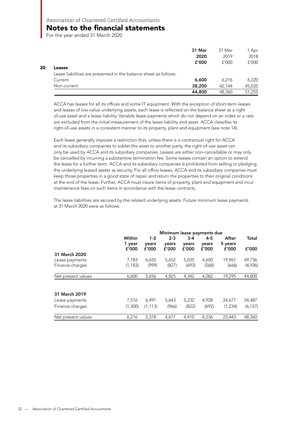### Notes to the financial statements

For the year ended 31 March 2020

**20** 

|                                                                  | 31 Mar | 31 Mar | 1 Apr  |
|------------------------------------------------------------------|--------|--------|--------|
|                                                                  | 2020   | 2019   | 2018   |
|                                                                  | f'000  | f'000  | f'000  |
| Leases                                                           |        |        |        |
| Lease liabilities are presented in the balance sheet as follows: |        |        |        |
| Current                                                          | 6,600  | 6.216  | 6.220  |
| Non-current                                                      | 38,200 | 42.144 | 45,035 |
|                                                                  | 44,800 | 48,360 | 51,255 |

ACCA has leases for all its offices and some IT equipment. With the exception of short-term leases and leases of low-value underlying assets, each lease is reflected on the balance sheet as a right of-use asset and a lease liability. Variable lease payments which do not depend on an index or a rate are excluded from the initial measurement of the lease liability and asset. ACCA classifies its right-of-use assets in a consistent manner to its property, plant and equipment (see note 14).

Each lease generally imposes a restriction that, unless there is a contractual right for ACCA and its subsidiary companies to sublet the asset to another party, the right-of-use asset can only be used by ACCA and its subsidiary companies. Leases are either non-cancellable or may only be cancelled by incurring a substantive termination fee. Some leases contain an option to extend the lease for a further term. ACCA and its subsidiary companies is prohibited from selling or pledging the underlying leased assets as security. For all office leases, ACCA and its subsidiary companies must keep those properties in a good state of repair and return the properties to their original conditions at the end of the lease. Further, ACCA must insure items of property, plant and equipment and incur maintenance fees on such items in accordance with the lease contracts.

The lease liabilities are secured by the related underlying assets. Future minimum lease payments at 31 March 2020 were as follows:

|                    |                  |                  | Minimum lease payments due |                  |                  |                  |          |
|--------------------|------------------|------------------|----------------------------|------------------|------------------|------------------|----------|
|                    | Within<br>1 year | $1 - 2$<br>years | $2 - 3$<br>years           | $3 - 4$<br>years | $4 - 5$<br>years | After<br>5 years | Total    |
|                    | f'000            | £'000            | £'000                      | £'000            | f'000            | £'000            | f'000    |
| 31 March 2020      |                  |                  |                            |                  |                  |                  |          |
| Lease payments     | 7,783            | 6,655            | 5,652                      | 5,035            | 4,650            | 19,961           | 49,736   |
| Finance charges    | (1, 183)         | (999)            | (827)                      | (693)            | (568)            | (666)            | (4,936)  |
| Net present values | 6,600            | 5,656            | 4,825                      | 4,342            | 4,082            | 19,295           | 44,800   |
| 31 March 2019      |                  |                  |                            |                  |                  |                  |          |
| Lease payments     | 7,516            | 6,491            | 5,643                      | 5,232            | 4,928            | 24,677           | 54,487   |
| Finance charges    | (1,300)          | (1, 113)         | (966)                      | (822)            | (692)            | (1,234)          | (6, 127) |
| Net present values | 6,216            | 5,378            | 4,677                      | 4,410            | 4,236            | 23,443           | 48,360   |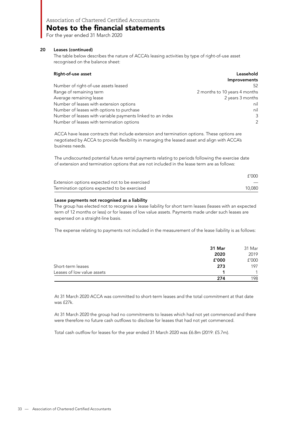## Notes to the financial statements

For the year ended 31 March 2020

#### 20 Leases (continued)

The table below describes the nature of ACCA's leasing activities by type of right-of-use asset recognised on the balance sheet:

| Right-of-use asset                                         | Leasehold                     |
|------------------------------------------------------------|-------------------------------|
|                                                            | Improvements                  |
| Number of right-of-use assets leased                       | 52                            |
| Range of remaining term                                    | 2 months to 10 years 4 months |
| Average remaining lease                                    | 2 years 3 months              |
| Number of leases with extension options                    | nil                           |
| Number of leases with options to purchase                  | nil                           |
| Number of leases with variable payments linked to an index |                               |
| Number of leases with termination options                  | $\mathcal{P}$                 |

ACCA have lease contracts that include extension and termination options. These options are negotiated by ACCA to provide flexibility in managing the leased asset and align with ACCA's business needs.

The undiscounted potential future rental payments relating to periods following the exercise date of extension and termination options that are not included in the lease term are as follows:

|                                                | £'000  |
|------------------------------------------------|--------|
| Extension options expected not to be exercised |        |
| Termination options expected to be exercised   | 10,080 |

#### Lease payments not recognised as a liability

The group has elected not to recognise a lease liability for short term leases (leases with an expected term of 12 months or less) or for leases of low value assets. Payments made under such leases are expensed on a straight-line basis.

The expense relating to payments not included in the measurement of the lease liability is as follows:

|                            | 31 Mar | 31 Mar |
|----------------------------|--------|--------|
|                            | 2020   | 2019   |
|                            | £'000  | f'000  |
| Short-term leases          | 273    | 197    |
| Leases of low value assets |        |        |
|                            | 274    | 198    |

At 31 March 2020 ACCA was committed to short-term leases and the total commitment at that date was £27k.

At 31 March 2020 the group had no commitments to leases which had not yet commenced and there were therefore no future cash outflows to disclose for leases that had not yet commenced.

Total cash outflow for leases for the year ended 31 March 2020 was £6.8m (2019: £5.7m).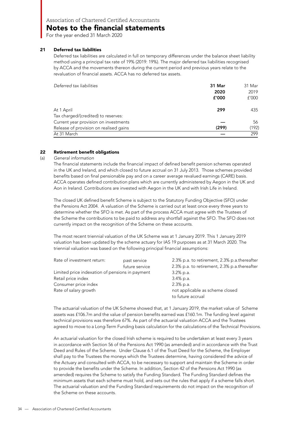For the year ended 31 March 2020

#### 21 Deferred tax liabilities

Deferred tax liabilities are calculated in full on temporary differences under the balance sheet liability method using a principal tax rate of 19% (2019: 19%). The major deferred tax liabilities recognised by ACCA and the movements thereon during the current period and previous years relate to the revaluation of financial assets. ACCA has no deferred tax assets.

| Deferred tax liabilities               | 31 Mar | 31 Mar |
|----------------------------------------|--------|--------|
|                                        | 2020   | 2019   |
|                                        | f'000  | f'000  |
| At 1 April                             | 299    | 435    |
| Tax charged/(credited) to reserves:    |        |        |
| Current year provision on investments  |        | 56     |
| Release of provision on realised gains | (299)  | (192)  |
| At 31 March                            |        | 299    |

#### 22 Retirement benefit obligations

(a) General information

The financial statements include the financial impact of defined benefit pension schemes operated in the UK and Ireland, and which closed to future accrual on 31 July 2013. Those schemes provided benefits based on final pensionable pay and on a career average revalued earnings (CARE) basis. ACCA operates defined contribution plans which are currently administered by Aegon in the UK and Aon in Ireland. Contributions are invested with Aegon in the UK and with Irish Life in Ireland.

The closed UK defined benefit Scheme is subject to the Statutory Funding Objective (SFO) under the Pensions Act 2004. A valuation of the Scheme is carried out at least once every three years to determine whether the SFO is met. As part of the process ACCA must agree with the Trustees of the Scheme the contributions to be paid to address any shortfall against the SFO. The SFO does not currently impact on the recognition of the Scheme on these accounts.

The most recent triennial valuation of the UK Scheme was at 1 January 2019. This 1 January 2019 valuation has been updated by the scheme actuary for IAS 19 purposes as at 31 March 2020. The triennial valuation was based on the following principal financial assumptions:

| Rate of investment return:                      | past service   | 2.3% p.a. to retirement, 2.3% p.a. thereafter |
|-------------------------------------------------|----------------|-----------------------------------------------|
|                                                 | future service | 2.3% p.a. to retirement, 2.3% p.a.thereafter  |
| Limited price indexation of pensions in payment |                | $3.2\%$ p.a.                                  |
| Retail price index                              |                | 3.4% p.a.                                     |
| Consumer price index                            |                | 2.3% p.a.                                     |
| Rate of salary growth                           |                | not applicable as scheme closed               |
|                                                 |                | to future accrual                             |

The actuarial valuation of the UK Scheme showed that, at 1 January 2019, the market value of Scheme assets was £106.7m and the value of pension benefits earned was £160.1m. The funding level against technical provisions was therefore 67%. As part of the actuarial valuation ACCA and the Trustees agreed to move to a Long-Term Funding basis calculation for the calculations of the Technical Provisions.

An actuarial valuation for the closed Irish scheme is required to be undertaken at least every 3 years in accordance with Section 56 of the Pensions Act 1990 (as amended) and in accordance with the Trust Deed and Rules of the Scheme. Under Clause 6.1 of the Trust Deed for the Scheme, the Employer shall pay to the Trustees the moneys which the Trustees determine, having considered the advice of the Actuary and consulted with ACCA, to be necessary to support and maintain the Scheme in order to provide the benefits under the Scheme. In addition, Section 42 of the Pensions Act 1990 (as amended) requires the Scheme to satisfy the Funding Standard. The Funding Standard defines the minimum assets that each scheme must hold, and sets out the rules that apply if a scheme falls short. The actuarial valuation and the Funding Standard requirements do not impact on the recognition of the Scheme on these accounts.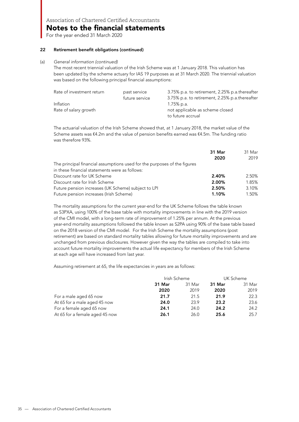For the year ended 31 March 2020

#### 22 Retirement benefit obligations (continued)

#### (a) General information (continued)

The most recent triennial valuation of the Irish Scheme was at 1 January 2018. This valuation has been updated by the scheme actuary for IAS 19 purposes as at 31 March 2020. The triennial valuation was based on the following principal financial assumptions:

| Rate of investment return | past service   | 3.75% p.a. to retirement, 2.25% p.a.thereafter |
|---------------------------|----------------|------------------------------------------------|
|                           | future service | 3.75% p.a. to retirement, 2.25% p.a.thereafter |
| Inflation                 |                | 1.75% p.a.                                     |
| Rate of salary growth     |                | not applicable as scheme closed                |
|                           |                | to future accrual                              |

The actuarial valuation of the Irish Scheme showed that, at 1 January 2018, the market value of the Scheme assets was €4.2m and the value of pension benefits earned was €4.5m. The funding ratio was therefore 93%.

|                                                                          | 31 Mar | 31 Mar |
|--------------------------------------------------------------------------|--------|--------|
|                                                                          | 2020   | 2019   |
| The principal financial assumptions used for the purposes of the figures |        |        |
| in these financial statements were as follows:                           |        |        |
| Discount rate for UK Scheme                                              | 2.40%  | 2.50%  |
| Discount rate for Irish Scheme                                           | 2.00%  | 1.85%  |
| Future pension increases (UK Scheme) subject to LPI                      | 2.50%  | 3.10%  |
| Future pension increases (Irish Scheme)                                  | 1.10%  | 1.50%  |

The mortality assumptions for the current year-end for the UK Scheme follows the table known as S3PXA, using 100% of the base table with mortality improvements in line with the 2019 version of the CMI model, with a long-term rate of improvement of 1.25% per annum. At the previous year-end mortality assumptions followed the table known as S2PA using 90% of the base table based on the 2018 version of the CMI model. For the Irish Scheme the mortality assumptions (post retirement) are based on standard mortality tables allowing for future mortality improvements and are unchanged from previous disclosures. However given the way the tables are compiled to take into account future mortality improvements the actual life expectancy for members of the Irish Scheme at each age will have increased from last year.

Assuming retirement at 65, the life expectancies in years are as follows:

|                                | Irish Scheme |        | UK Scheme |        |
|--------------------------------|--------------|--------|-----------|--------|
|                                | 31 Mar       | 31 Mar | 31 Mar    | 31 Mar |
|                                | 2020         | 2019   | 2020      | 2019   |
| For a male aged 65 now         | 21.7         | 21.5   | 21.9      | 22.3   |
| At 65 for a male aged 45 now   | 24.0         | 23.9   | 23.2      | 23.6   |
| For a female aged 65 now       | 24.1         | 24.0   | 24.2      | 24.2   |
| At 65 for a female aged 45 now | 26.1         | 26.0   | 25.6      | 25.7   |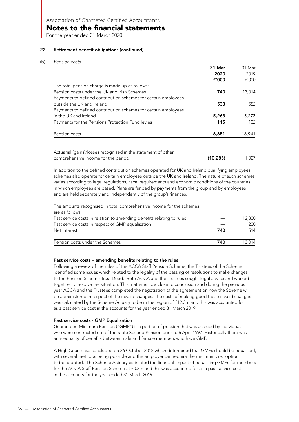Notes to the financial statements

For the year ended 31 March 2020

#### 22 Retirement benefit obligations (continued)

#### (b) *Pension costs*

|                                                                | 31 Mar | 31 Mar |
|----------------------------------------------------------------|--------|--------|
|                                                                | 2020   | 2019   |
|                                                                | f'000  | f'000  |
| The total pension charge is made up as follows:                |        |        |
| Pension costs under the UK and Irish Schemes                   | 740    | 13,014 |
| Payments to defined contribution schemes for certain employees |        |        |
| outside the UK and Ireland                                     | 533    | 552    |
| Payments to defined contribution schemes for certain employees |        |        |
| in the UK and Ireland                                          | 5,263  | 5,273  |
| Payments for the Pensions Protection Fund levies               | 115    | 102    |
| Pension costs                                                  | 6,651  | 18,941 |

In addition to the defined contribution schemes operated for UK and Ireland qualifying employees, schemes also operate for certain employees outside the UK and Ireland. The nature of such schemes varies according to legal regulations, fiscal requirements and economic conditions of the countries in which employees are based. Plans are funded by payments from the group and by employees and are held separately and independently of the group's finances.

The amounts recognised in total comprehensive income for the schemes are as follows: Past service costs in relation to amending benefits relating to rules — 12,300 Past service costs in respect of GMP equalisation  $\sim$  200

| Net interest                    | 740 | 514    |
|---------------------------------|-----|--------|
| Pension costs under the Schemes | 740 | 13.014 |

#### Past service costs – amending benefits relating to the rules

Following a review of the rules of the ACCA Staff Pension Scheme, the Trustees of the Scheme identified some issues which related to the legality of the passing of resolutions to make changes to the Pension Scheme Trust Deed. Both ACCA and the Trustees sought legal advice and worked together to resolve the situation. This matter is now close to conclusion and during the previous year ACCA and the Trustees completed the negotiation of the agreement on how the Scheme will be administered in respect of the invalid changes. The costs of making good those invalid changes was calculated by the Scheme Actuary to be in the region of £12.3m and this was accounted for as a past service cost in the accounts for the year ended 31 March 2019.

#### Past service costs - GMP Equalisation

Guaranteed Minimum Pension ("GMP") is a portion of pension that was accrued by individuals who were contracted out of the State Second Pension prior to 6 April 1997. Historically there was an inequality of benefits between male and female members who have GMP.

A High Court case concluded on 26 October 2018 which determined that GMPs should be equalised, with several methods being possible and the employer can require the minimum cost option to be adopted. The Scheme Actuary estimated the financial impact of equalising GMPs for members for the ACCA Staff Pension Scheme at £0.2m and this was accounted for as a past service cost in the accounts for the year ended 31 March 2019.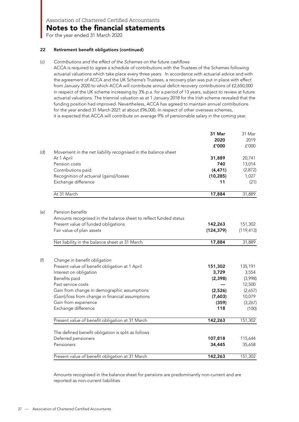**Notes to the financial statements** 

For the year ended 31 March 2020

#### 22 Retirement benefit obligations (continued)

#### (c) Contributions and the effect of the Schemes on the future cashflows

ACCA is required to agree a schedule of contributions with the Trustees of the Schemes following actuarial valuations which take place every three years. In accordance with actuarial advice and with the agreement of ACCA and the UK Scheme's Trustees, a recovery plan was put in place with effect from January 2020 to which ACCA will contribute annual deficit recovery contributions of £2,650,000 in respect of the UK scheme increasing by 3% p.a. for a period of 13 years, subject to review at future actuarial valuations. The triennial valuation as at 1 January 2018 for the Irish scheme revealed that the funding position had improved. Nevertheless, ACCA has agreed to maintain annual contributions for the year ended 31 March 2021 at about £96,000. In respect of other overseas schemes, it is expected that ACCA will contribute on average 9% of pensionable salary in the coming year.

|     |                                                                  | 31 Mar<br>2020<br>£'000 | 31 Mar<br>2019<br>f'000 |
|-----|------------------------------------------------------------------|-------------------------|-------------------------|
| (d) | Movement in the net liability recognised in the balance sheet    |                         |                         |
|     | At 1 April                                                       | 31,889                  | 20,741                  |
|     | Pension costs                                                    | 740                     | 13,014                  |
|     | Contributions paid                                               | (4, 471)                | (2,872)                 |
|     | Recognition of actuarial (gains)/losses                          | (10, 285)               | 1,027                   |
|     | Exchange difference                                              | 11                      | (21)                    |
|     | At 31 March                                                      | 17,884                  | 31,889                  |
| (e) | Pension benefits                                                 |                         |                         |
|     | Amounts recognised in the balance sheet to reflect funded status |                         |                         |
|     | Present value of funded obligations                              | 142,263                 | 151,302                 |
|     | Fair value of plan assets                                        | (124, 379)              | (119, 413)              |
|     |                                                                  |                         |                         |
|     | Net liability in the balance sheet at 31 March                   | 17,884                  | 31,889                  |
|     |                                                                  |                         |                         |
| (f) | Change in benefit obligation                                     |                         |                         |
|     | Present value of benefit obligation at 1 April                   | 151,302                 | 135,191                 |
|     | Interest on obligation                                           | 3,729                   | 3,554                   |
|     | Benefits paid                                                    | (2, 398)                | (3,998)                 |
|     | Past service costs                                               |                         | 12,500                  |
|     | Gain from change in demographic assumptions                      | (2,526)                 | (2,657)                 |
|     | (Gain)/loss from change in financial assumptions                 | (7,603)                 | 10,079                  |
|     | Gain from experience                                             | (359)                   | (3, 267)                |
|     | Exchange difference                                              | 118                     | (100)                   |
|     | Present value of benefit obligation at 31 March                  | 142,263                 | 151,302                 |
|     | The defined benefit obligation is split as follows               |                         |                         |
|     | Deferred pensioners                                              | 107,818                 | 115,644                 |
|     | Pensioners                                                       | 34,445                  | 35,658                  |
|     | Present value of benefit obligation at 31 March                  | 142,263                 | 151,302                 |

Amounts recognised in the balance sheet for pensions are predominantly non-current and are reported as non-current liabilities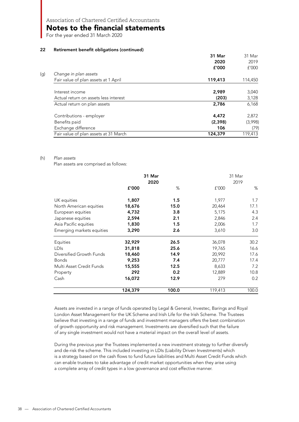Notes to the financial statements

For the year ended 31 March 2020

#### 22 Retirement benefit obligations (continued)

|                                       | 31 Mar  | 31 Mar  |
|---------------------------------------|---------|---------|
|                                       | 2020    | 2019    |
|                                       | £'000   | f'000   |
| (g)<br>Change in plan assets          |         |         |
| Fair value of plan assets at 1 April  | 119,413 | 114,450 |
| Interest income                       | 2.989   | 3,040   |
| Actual return on assets less interest | (203)   | 3,128   |
| Actual return on plan assets          | 2,786   | 6,168   |
| Contributions - employer              | 4,472   | 2,872   |
| Benefits paid                         | (2,398) | (3,998) |
| Exchange difference                   | 106     | (79)    |
| Fair value of plan assets at 31 March | 124,379 | 119,413 |

#### (h) Plan assets

Plan assets are comprised as follows:

|                           |         | 31 Mar<br>2020 |         | 31 Mar<br>2019 |
|---------------------------|---------|----------------|---------|----------------|
|                           | £'000   | %              | f'000   | %              |
| UK equities               | 1,807   | 1.5            | 1,977   | 1.7            |
| North American equities   | 18,676  | 15.0           | 20,464  | 17.1           |
| European equities         | 4,732   | 3.8            | 5,175   | 4.3            |
| Japanese equities         | 2,594   | 2.1            | 2,846   | 2.4            |
| Asia Pacific equities     | 1,830   | 1.5            | 2,006   | 1.7            |
| Emerging markets equities | 3,290   | 2.6            | 3,610   | 3.0            |
| Equities                  | 32,929  | 26.5           | 36,078  | 30.2           |
| LDIs                      | 31,818  | 25.6           | 19,765  | 16.6           |
| Diversified Growth Funds  | 18,460  | 14.9           | 20,992  | 17.6           |
| <b>Bonds</b>              | 9,253   | 7.4            | 20,777  | 17.4           |
| Multi Asset Credit Funds  | 15,555  | 12.5           | 8,633   | 7.2            |
| Property                  | 292     | 0.2            | 12,889  | 10.8           |
| Cash                      | 16,072  | 12.9           | 279     | 0.2            |
|                           | 124,379 | 100.0          | 119,413 | 100.0          |

Assets are invested in a range of funds operated by Legal & General, Investec, Barings and Royal London Asset Management for the UK Scheme and Irish Life for the Irish Scheme. The Trustees believe that investing in a range of funds and investment managers offers the best combination of growth opportunity and risk management. Investments are diversified such that the failure of any single investment would not have a material impact on the overall level of assets.

During the previous year the Trustees implemented a new investment strategy to further diversify and de-risk the scheme. This included investing in LDIs (Liability Driven Investments) which is a strategy based on the cash flows to fund future liabilities and Multi Asset Credit Funds which can enable trustees to take advantage of credit market opportunities when they arise using a complete array of credit types in a low governance and cost effective manner.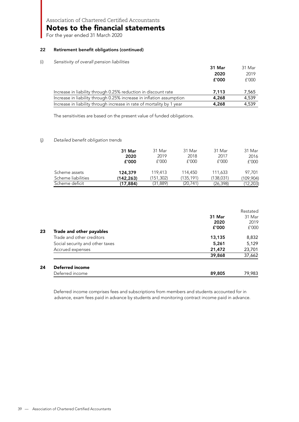Notes to the financial statements

For the year ended 31 March 2020

#### 22 Retirement benefit obligations (continued)

#### (i) Sensitivity of overall pension liabilities

| 31 Mar | 31 Mar |
|--------|--------|
| 2020   | 2019   |
| £'000  | f'000  |
| 7.113  | 7,565  |
| 4,268  | 4.539  |
| 4,268  | 4.539  |
|        |        |

The sensitivities are based on the present value of funded obligations.

#### (j) Detailed benefit obligation trends

|                    | 31 Mar    | 31 Mar    | 31 Mar    | 31 Mar    | 31 Mar    |
|--------------------|-----------|-----------|-----------|-----------|-----------|
|                    | 2020      | 2019      | 2018      | 2017      | 2016      |
|                    | f'000     | £'000     | f'000     | f'000     | f'000     |
| Scheme assets      | 124,379   | 119,413   | 114,450   | 111,633   | 97.701    |
| Scheme liabilities | (142,263) | (151,302) | (135,191) | (138,031) | (109,904) |
| Scheme deficit     | (17, 884) | (31, 889) | (20, 741) | (26,398)  | (12,203)  |

|    |                                 |        | Restated |
|----|---------------------------------|--------|----------|
|    |                                 | 31 Mar | 31 Mar   |
|    |                                 | 2020   | 2019     |
| 23 | Trade and other payables        | f'000  | f'000    |
|    | Trade and other creditors       | 13,135 | 8,832    |
|    | Social security and other taxes | 5,261  | 5,129    |
|    | Accrued expenses                | 21,472 | 23,701   |
|    |                                 | 39,868 | 37,662   |
| 24 | <b>Deferred income</b>          |        |          |
|    | Deferred income                 | 89,805 | 79,983   |

Deferred income comprises fees and subscriptions from members and students accounted for in advance, exam fees paid in advance by students and monitoring contract income paid in advance.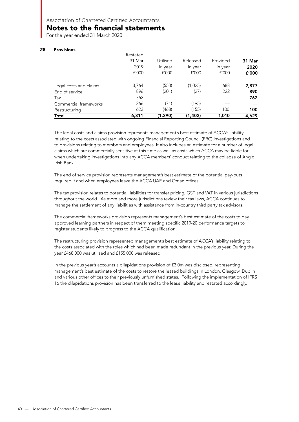### Notes to the financial statements

For the year ended 31 March 2020

#### 25 Provisions

| Total                  | 6,311    | (1,290)  | (1,402)  | 1,010    | 4,629  |
|------------------------|----------|----------|----------|----------|--------|
| Restructuring          | 623      | (468)    | (155)    | 100      | 100    |
| Commercial frameworks  | 266      | (71)     | (195)    |          |        |
| Tax                    | 762      |          |          |          | 762    |
| End of service         | 896      | (201)    | (27)     | 222      | 890    |
| Legal costs and claims | 3,764    | (550)    | (1,025)  | 688      | 2,877  |
|                        | f'000    | f'000    | f'000    | f'000    | £'000  |
|                        | 2019     | in year  | in year  | in year  | 2020   |
|                        | 31 Mar   | Utilised | Released | Provided | 31 Mar |
|                        | Restated |          |          |          |        |

The legal costs and claims provision represents management's best estimate of ACCA's liability relating to the costs associated with ongoing Financial Reporting Council (FRC) investigations and to provisions relating to members and employees. It also includes an estimate for a number of legal claims which are commercially sensitive at this time as well as costs which ACCA may be liable for when undertaking investigations into any ACCA members' conduct relating to the collapse of Anglo Irish Bank.

The end of service provision represents management's best estimate of the potential pay-outs required if and when employees leave the ACCA UAE and Oman offices.

The tax provision relates to potential liabilities for transfer pricing, GST and VAT in various jurisdictions throughout the world. As more and more jurisdictions review their tax laws, ACCA continues to manage the settlement of any liabilities with assistance from in-country third party tax advisors.

The commercial frameworks provision represents management's best estimate of the costs to pay approved learning partners in respect of them meeting specific 2019-20 performance targets to register students likely to progress to the ACCA qualification.

The restructuring provision represented management's best estimate of ACCA's liability relating to the costs associated with the roles which had been made redundant in the previous year. During the year £468,000 was utilised and £155,000 was released.

In the previous year's accounts a dilapidations provision of £3.0m was disclosed, representing management's best estimate of the costs to restore the leased buildings in London, Glasgow, Dublin and various other offices to their previously unfurnished states. Following the implementation of IFRS 16 the dilapidations provision has been transferred to the lease liability and restated accordingly.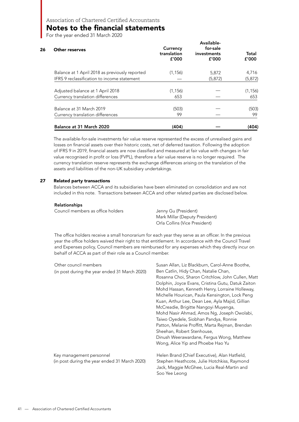### Notes to the financial statements

For the year ended 31 March 2020

| Other reserves                                 | Currency<br>translation<br>f'000 | Available-<br>for-sale<br>investments<br>f'000 | Total<br>f'000 |
|------------------------------------------------|----------------------------------|------------------------------------------------|----------------|
| Balance at 1 April 2018 as previously reported | (1, 156)                         | 5,872                                          | 4,716          |
| IFRS 9 reclassification to income statement    |                                  | (5, 872)                                       | (5, 872)       |
| Adjusted balance at 1 April 2018               | (1, 156)                         |                                                | (1, 156)       |
| Currency translation differences               | 653                              |                                                | 653            |
| Balance at 31 March 2019                       | (503)                            |                                                | (503)          |
| Currency translation differences               | 99                               |                                                | 99             |
| Balance at 31 March 2020                       | (404)                            |                                                | (404)          |

The available-for-sale investments fair value reserve represented the excess of unrealised gains and losses on financial assets over their historic costs, net of deferred taxation. Following the adoption of IFRS 9 in 2019, financial assets are now classified and measured at fair value with changes in fair value recognised in profit or loss (FVPL), therefore a fair value reserve is no longer required. The currency translation reserve represents the exchange differences arising on the translation of the assets and liabilities of the non-UK subsidiary undertakings.

#### 27 Related party transactions

Balances between ACCA and its subsidiaries have been eliminated on consolidation and are not included in this note. Transactions between ACCA and other related parties are disclosed below.

#### Relationships

| Council members as office holders | Jenny Gu (President)           |
|-----------------------------------|--------------------------------|
|                                   | Mark Millar (Deputy President) |
|                                   | Orla Collins (Vice President)  |

The office holders receive a small honorarium for each year they serve as an officer. In the previous year the office holders waived their right to that entitlement. In accordance with the Council Travel and Expenses policy, Council members are reimbursed for any expenses which they directly incur on behalf of ACCA as part of their role as a Council member.

| Other council members                         | Susan Allan, Liz Blackburn, Carol-Anne Boothe,    |
|-----------------------------------------------|---------------------------------------------------|
| (in post during the year ended 31 March 2020) | Ben Catlin, Hidy Chan, Natalie Chan,              |
|                                               | Rosanna Choi, Sharon Critchlow, John Cullen, Matt |
|                                               | Dolphin, Joyce Evans, Cristina Gutu, Datuk Zaiton |
|                                               | Mohd Hassan, Kenneth Henry, Lorraine Holleway,    |
|                                               | Michelle Hourican, Paula Kensington, Lock Peng    |
|                                               | Kuan, Arthur Lee, Dean Lee, Ayla Majid, Gillian   |
|                                               | McCreadie, Brigitte Nangoyi Muyenga,              |
|                                               | Mohd Nasir Ahmad, Amos Ng, Joseph Owolabi,        |
|                                               | Taiwo Oyedele, Siobhan Pandya, Ronnie             |
|                                               | Patton, Melanie Proffitt, Marta Rejman, Brendan   |
|                                               | Sheehan, Robert Stenhouse,                        |
|                                               | Dinush Weerawardane, Fergus Wong, Matthew         |
|                                               | Wong, Alice Yip and Phoebe Hao Yu                 |
| Key management personnel                      | Helen Brand (Chief Executive), Alan Hatfield,     |
| (in post during the year ended 31 March 2020) | Stephen Heathcote, Julie Hotchkiss, Raymond       |
|                                               | Jack, Maggie McGhee, Lucia Real-Martin and        |
|                                               | Soo Yee Leong                                     |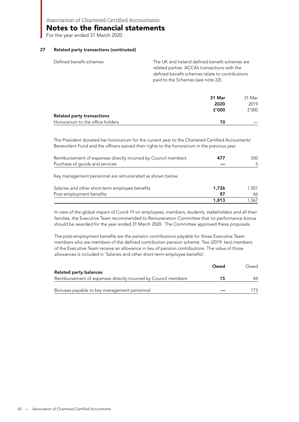Notes to the financial statements

For the year ended 31 March 2020

#### 27 Related party transactions (continuted)

| Defined benefit schemes | The UK and Ireland defined benefit schemes are                                                   |
|-------------------------|--------------------------------------------------------------------------------------------------|
|                         | related parties. ACCA's transactions with the<br>defined benefit schemes relate to contributions |
|                         | paid to the Schemes (see note 22).                                                               |

|                                  | 31 Mar | 31 Mar |
|----------------------------------|--------|--------|
|                                  | 2020   | 2019   |
|                                  | f'000  | f'000  |
| Related party transactions       |        |        |
| Honorarium to the office holders | 10     |        |

The President donated her honorarium for the current year to the Chartered Certified Accountants' Benevolent Fund and the officers waived their rights to the honorarium in the previous year.

| Reimbursement of expenses directly incurred by Council members | 477 | 550 |
|----------------------------------------------------------------|-----|-----|
| Purchase of goods and services                                 |     |     |
|                                                                |     |     |

Key management personnel are remunerated as shown below.

| Salaries and other short-term employee benefits | 1,726 | 1.501 |
|-------------------------------------------------|-------|-------|
| Post-employment benefits                        |       | 66.   |
|                                                 | 1.813 | 1.567 |

In view of the global impact of Covid-19 on employees, members, students, stakeholders and all their families, the Executive Team recommended to Remuneration Committee that no performance bonus should be awarded for the year ended 31 March 2020. The Committee approved these proposals.

The post-employment benefits are the pension contributions payable for those Executive Team members who are members of the defined contribution pension scheme. Two (2019: two) members of the Executive Team receive an allowance in lieu of pension contributions. The value of those allowances is included in 'Salaries and other short-term employee benefits'.

|                                                                | Owed | Owed |
|----------------------------------------------------------------|------|------|
| <b>Related party balances</b>                                  |      |      |
| Reimbursement of expenses directly incurred by Council members | 15   | 44   |
| Bonuses payable to key management personnel                    |      |      |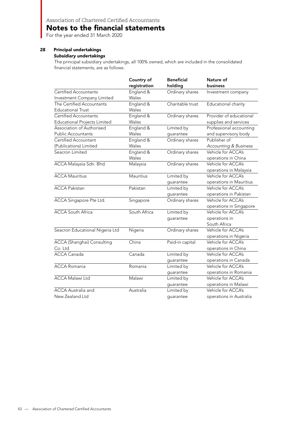### Notes to the financial statements

For the year ended 31 March 2020

#### 28 Principal undertakings

#### *Subsidiary undertakings*

The principal subsidiary undertakings, all 100% owned, which are included in the consolidated financial statements, are as follows:

|                                     | Country of   | <b>Beneficial</b> | Nature of                        |
|-------------------------------------|--------------|-------------------|----------------------------------|
|                                     | registration | holding           | business                         |
| <b>Certified Accountants</b>        | England &    | Ordinary shares   | Investment company               |
| Investment Company Limited          | Wales        |                   |                                  |
| The Certified Accountants           | England &    | Charitable trust  | Educational charity              |
| <b>Educational Trust</b>            | Wales        |                   |                                  |
| <b>Certified Accountants</b>        | England &    | Ordinary shares   | Provider of educational          |
| <b>Educational Projects Limited</b> | Wales        |                   | supplies and services            |
| Association of Authorised           | England &    | Limited by        | Professional accounting          |
| <b>Public Accountants</b>           | Wales        | guarantee         | and supervisory body             |
| Certified Accountant                | England &    | Ordinary shares   | Publisher of                     |
| (Publications) Limited              | Wales        |                   | <b>Accounting &amp; Business</b> |
| Seacron Limited                     | England &    | Ordinary shares   | Vehicle for ACCA's               |
|                                     | Wales        |                   | operations in China              |
| ACCA Malaysia Sdn. Bhd.             | Malaysia     | Ordinary shares   | Vehicle for ACCA's               |
|                                     |              |                   | operations in Malaysia           |
| <b>ACCA Mauritius</b>               | Mauritius    | Limited by        | Vehicle for ACCA's               |
|                                     |              | guarantee         | operations in Mauritius          |
| <b>ACCA Pakistan</b>                | Pakistan     | Limited by        | Vehicle for ACCA's               |
|                                     |              | guarantee         | operations in Pakistan           |
| ACCA Singapore Pte Ltd.             | Singapore    | Ordinary shares   | Vehicle for ACCA's               |
|                                     |              |                   | operations in Singapore          |
| <b>ACCA South Africa</b>            | South Africa | Limited by        | Vehicle for ACCA's               |
|                                     |              | guarantee         | operations in                    |
|                                     |              |                   | South Africa                     |
| Seacron Educational Nigeria Ltd     | Nigeria      | Ordinary shares   | Vehicle for ACCA's               |
|                                     |              |                   | operations in Nigeria            |
| ACCA (Shanghai) Consulting          | China        | Paid-in capital   | Vehicle for ACCA's               |
| Co. Ltd                             |              |                   | operations in China              |
| <b>ACCA Canada</b>                  | Canada       | Limited by        | Vehicle for ACCA's               |
|                                     |              | guarantee         | operations in Canada             |
| <b>ACCA Romania</b>                 | Romania      | Limited by        | Vehicle for ACCA's               |
|                                     |              | guarantee         | operations in Romania            |
| <b>ACCA Malawi Ltd</b>              | Malawi       | Limited by        | Vehicle for ACCA's               |
|                                     |              | guarantee         | operations in Malawi             |
| <b>ACCA</b> Australia and           | Australia    | Limited by        | Vehicle for ACCA's               |
| New Zealand Ltd                     |              | quarantee         | operations in Australia          |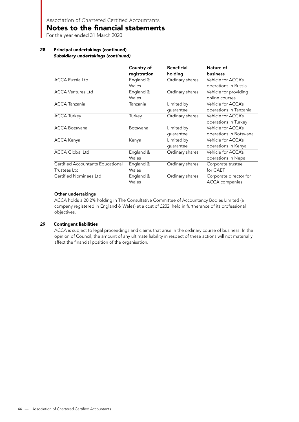Notes to the financial statements

For the year ended 31 March 2020

#### 28 Principal undertakings (continued) *Subsidiary undertakings (continued)*

|                                   | Country of<br>registration | <b>Beneficial</b><br>holding | Nature of<br><b>business</b> |
|-----------------------------------|----------------------------|------------------------------|------------------------------|
| <b>ACCA Russia Ltd</b>            | England &                  | Ordinary shares              | Vehicle for ACCA's           |
|                                   | Wales                      |                              | operations in Russia         |
| <b>ACCA Ventures Ltd</b>          | England &                  | Ordinary shares              | Vehicle for providing        |
|                                   | Wales                      |                              | online courses               |
| <b>ACCA Tanzania</b>              | Tanzania                   | Limited by                   | Vehicle for ACCA's           |
|                                   |                            | quarantee                    | operations in Tanzania       |
| <b>ACCA Turkey</b>                | Turkey                     | Ordinary shares              | Vehicle for ACCA's           |
|                                   |                            |                              | operations in Turkey         |
| <b>ACCA Botswana</b>              | Botswana                   | Limited by                   | Vehicle for ACCA's           |
|                                   |                            | quarantee                    | operations in Botswana       |
| <b>ACCA Kenya</b>                 | Kenya                      | Limited by                   | Vehicle for ACCA's           |
|                                   |                            | quarantee                    | operations in Kenya          |
| <b>ACCA Global Ltd</b>            | England &                  | Ordinary shares              | Vehicle for ACCA's           |
|                                   | Wales                      |                              | operations in Nepal          |
| Certified Accountants Educational | England &                  | Ordinary shares              | Corporate trustee            |
| Trustees Ltd                      | Wales                      |                              | for CAET                     |
| <b>Certified Nominees Ltd</b>     | England &                  | Ordinary shares              | Corporate director for       |
|                                   | Wales                      |                              | <b>ACCA</b> companies        |

#### Other undertakings

ACCA holds a 20.2% holding in The Consultative Committee of Accountancy Bodies Limited (a company registered in England & Wales) at a cost of £202, held in furtherance of its professional objectives.

#### 29 Contingent liabilities

ACCA is subject to legal proceedings and claims that arise in the ordinary course of business. In the opinion of Council, the amount of any ultimate liability in respect of these actions will not materially affect the financial position of the organisation.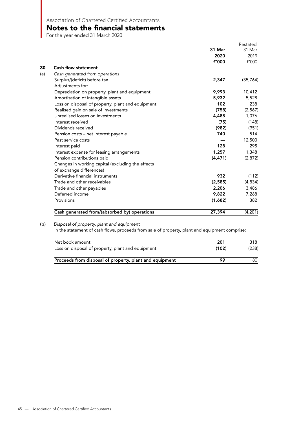### Notes to the financial statements

For the year ended 31 March 2020

|                                                                                               |          | Restated  |
|-----------------------------------------------------------------------------------------------|----------|-----------|
|                                                                                               | 31 Mar   | 31 Mar    |
|                                                                                               | 2020     | 2019      |
|                                                                                               | f'000    | f'000     |
| <b>Cash flow statement</b>                                                                    |          |           |
| Cash generated from operations                                                                |          |           |
| Surplus/(deficit) before tax                                                                  | 2,347    | (35, 764) |
| Adjustments for:                                                                              |          |           |
| Depreciation on property, plant and equipment                                                 | 9,993    | 10,412    |
| Amortisation of intangible assets                                                             | 5,932    | 5,528     |
| Loss on disposal of property, plant and equipment                                             | 102      | 238       |
| Realised gain on sale of investments                                                          | (758)    | (2, 567)  |
| Unrealised losses on investments                                                              | 4,488    | 1,076     |
| Interest received                                                                             | (75)     | (148)     |
| Dividends received                                                                            | (982)    | (951)     |
| Pension costs - net interest payable                                                          | 740      | 514       |
| Past service costs                                                                            |          | 12,500    |
| Interest paid                                                                                 | 128      | 295       |
| Interest expense for leasing arrangements                                                     | 1,257    | 1,348     |
| Pension contributions paid                                                                    | (4, 471) | (2,872)   |
| Changes in working capital (excluding the effects                                             |          |           |
| of exchange differences)                                                                      |          |           |
| Derivative financial instruments                                                              | 932      | (112)     |
| Trade and other receivables                                                                   | (2,585)  | (4,834)   |
| Trade and other payables                                                                      | 2,206    | 3,486     |
| Deferred income                                                                               | 9,822    | 7,268     |
| Provisions                                                                                    | (1,682)  | 382       |
|                                                                                               |          |           |
| Cash generated from/(absorbed by) operations                                                  | 27,394   | (4,201)   |
| Disposal of property, plant and equipment                                                     |          |           |
| In the statement of cash flows, proceeds from sale of property, plant and equipment comprise: |          |           |
|                                                                                               |          |           |
| Net book amount                                                                               | 201      | 318       |
| Loss on disposal of property, plant and equipment                                             | (102)    | (238)     |
| Proceeds from disposal of property, plant and equipment                                       | 99       | 80        |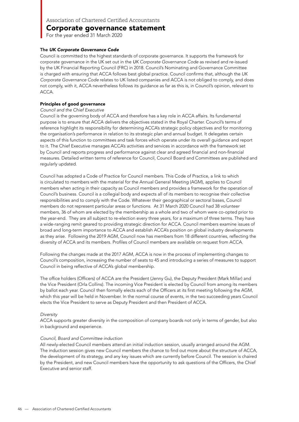For the year ended 31 March 2020

#### The *UK Corporate Governance Code*

Council is committed to the highest standards of corporate governance. It supports the framework for corporate governance in the UK set out in the *U*K Corporate Governance Code as revised and re-issued by the UK Financial Reporting Council (FRC) in 2018. Council's Nominating and Governance Committee is charged with ensuring that ACCA follows best global practice. Council confirms that, although the UK Corporate Governance Code relates to UK listed companies and ACCA is not obliged to comply, and does not comply, with it, ACCA nevertheless follows its guidance as far as this is, in Council's opinion, relevant to ACCA.

#### Principles of good governance

#### Council and the Chief Executive

Council is the governing body of ACCA and therefore has a key role in ACCA affairs. Its fundamental purpose is to ensure that ACCA delivers the objectives stated in the Royal Charter. Council's terms of reference highlight its responsibility for determining ACCA's strategic policy objectives and for monitoring the organisation's performance in relation to its strategic plan and annual budget. It delegates certain aspects of this function to committees and task forces which operate under its overall guidance and report to it. The Chief Executive manages ACCA's activities and services in accordance with the framework set by Council and reports progress and performance against clear and agreed financial and non-financial measures. Detailed written terms of reference for Council, Council Board and Committees are published and regularly updated.

Council has adopted a Code of Practice for Council members. This Code of Practice, a link to which is circulated to members with the material for the Annual General Meeting (AGM), applies to Council members when acting in their capacity as Council members and provides a framework for the operation of Council's business. Council is a collegial body and expects all of its members to recognise their collective responsibilities and to comply with the Code. Whatever their geographical or sectoral bases, Council members do not represent particular areas or functions. At 31 March 2020 Council had 38 volunteer members, 36 of whom are elected by the membership as a whole and two of whom were co-opted prior to the year-end. They are all subject to re-election every three years, for a maximum of three terms. They have a wide-ranging remit geared to providing strategic direction for ACCA. Council members examine issues of broad and long-term importance to ACCA and establish ACCA's position on global industry developments as they arise. Following the 2019 AGM, Council now has members from 18 different countries, reflecting the diversity of ACCA and its members. Profiles of Council members are available on request from ACCA.

Following the changes made at the 2017 AGM, ACCA is now in the process of implementing changes to Council's composition, increasing the number of seats to 45 and introducing a series of measures to support Council in being reflective of ACCA's global membership.

The office holders (Officers) of ACCA are the President (Jenny Gu), the Deputy President (Mark Millar) and the Vice President (Orla Collins). The incoming Vice President is elected by Council from among its members by ballot each year. Council then formally elects each of the Officers at its first meeting following the AGM, which this year will be held in November. In the normal course of events, in the two succeeding years Council elects the Vice President to serve as Deputy President and then President of ACCA.

#### Diversity

ACCA supports greater diversity in the composition of company boards not only in terms of gender, but also in background and experience.

#### Council, Board and Committee induction

All newly-elected Council members attend an initial induction session, usually arranged around the AGM. The induction session gives new Council members the chance to find out more about the structure of ACCA, the development of its strategy, and any key issues which are currently before Council. The session is chaired by the President, and new Council members have the opportunity to ask questions of the Officers, the Chief Executive and senior staff.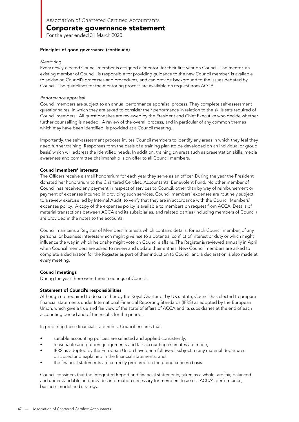For the year ended 31 March 2020

#### Principles of good governance (continued)

#### Mentoring

Every newly-elected Council member is assigned a 'mentor' for their first year on Council. The mentor, an existing member of Council, is responsible for providing guidance to the new Council member, is available to advise on Council's processes and procedures, and can provide background to the issues debated by Council. The guidelines for the mentoring process are available on request from ACCA.

#### Performance appraisal

Council members are subject to an annual performance appraisal process. They complete self-assessment questionnaires, in which they are asked to consider their performance in relation to the skills sets required of Council members. All questionnaires are reviewed by the President and Chief Executive who decide whether further counselling is needed. A review of the overall process, and in particular of any common themes which may have been identified, is provided at a Council meeting.

Importantly, the self-assessment process invites Council members to identify any areas in which they feel they need further training. Responses form the basis of a training plan (to be developed on an individual or group basis) which will address the identified needs. In addition, training on areas such as presentation skills, media awareness and committee chairmanship is on offer to all Council members.

#### Council members' interests

The Officers receive a small honorarium for each year they serve as an officer. During the year the President donated her honorarium to the Chartered Certified Accountants' Benevolent Fund. No other member of Council has received any payment in respect of services to Council, other than by way of reimbursement or payment of expenses incurred in providing such services. Council members' expenses are routinely subject to a review exercise led by Internal Audit, to verify that they are in accordance with the Council Members' expenses policy. A copy of the expenses policy is available to members on request from ACCA. Details of material transactions between ACCA and its subsidiaries, and related parties (including members of Council) are provided in the notes to the accounts.

Council maintains a Register of Members' Interests which contains details, for each Council member, of any personal or business interests which might give rise to a potential conflict of interest or duty or which might influence the way in which he or she might vote on Council's affairs. The Register is reviewed annually in April when Council members are asked to review and update their entries. New Council members are asked to complete a declaration for the Register as part of their induction to Council and a declaration is also made at every meeting.

#### Council meetings

During the year there were three meetings of Council.

#### Statement of Council's responsibilities

Although not required to do so, either by the Royal Charter or by UK statute, Council has elected to prepare financial statements under International Financial Reporting Standards (IFRS) as adopted by the European Union, which give a true and fair view of the state of affairs of ACCA and its subsidiaries at the end of each accounting period and of the results for the period.

In preparing these financial statements, Council ensures that:

- suitable accounting policies are selected and applied consistently;
- reasonable and prudent judgements and fair accounting estimates are made;
- IFRS as adopted by the European Union have been followed, subject to any material departures disclosed and explained in the financial statements; and
- the financial statements are correctly prepared on the going concern basis.

Council considers that the Integrated Report and financial statements, taken as a whole, are fair, balanced and understandable and provides information necessary for members to assess ACCA's performance, business model and strategy.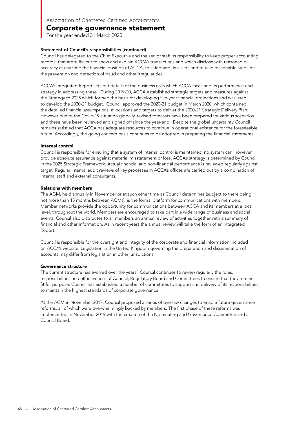For the year ended 31 March 2020

#### Statement of Council's responsibilities (continued)

Council has delegated to the Chief Executive and the senior staff its responsibility to keep proper accounting records, that are sufficient to show and explain ACCA's transactions and which disclose with reasonable accuracy at any time the financial position of ACCA, to safeguard its assets and to take reasonable steps for the prevention and detection of fraud and other irregularities.

ACCA's Integrated Report sets out details of the business risks which ACCA faces and its performance and strategy in addressing these. During 2019-20, ACCA established strategic targets and measures against the Strategy to 2025 which formed the basis for developing five-year financial projections and was used to develop the 2020-21 budget. Council approved the 2020-21 budget in March 2020, which contained the detailed financial assumptions, allocations and targets to deliver the 2020-21 Strategic Delivery Plan. However due to the Covid-19 situation globally, revised forecasts have been prepared for various scenarios and these have been reviewed and signed off since the year-end. Despite the global uncertainty Council remains satisfied that ACCA has adequate resources to continue in operational existence for the foreseeable future. Accordingly, the going concern basis continues to be adopted in preparing the financial statements.

#### Internal control

Council is responsible for ensuring that a system of internal control is maintained; no system can, however, provide absolute assurance against material misstatement or loss. ACCA's strategy is determined by Council in the 2025 Strategic Framework. Actual financial and non-financial performance is reviewed regularly against target. Regular internal audit reviews of key processes in ACCA's offices are carried out by a combination of internal staff and external consultants.

#### Relations with members

The AGM, held annually in November or at such other time as Council determines (subject to there being not more than 15 months between AGMs), is the formal platform for communications with members. Member networks provide the opportunity for communications between ACCA and its members at a local level, throughout the world. Members are encouraged to take part in a wide range of business and social events. Council also distributes to all members an annual review of activities together with a summary of financial and other information. As in recent years the annual review will take the form of an Integrated Report.

Council is responsible for the oversight and integrity of the corporate and financial information included on ACCA's website. Legislation in the United Kingdom governing the preparation and dissemination of accounts may differ from legislation in other jurisdictions.

#### Governance structure

The current structure has evolved over the years. Council continues to review regularly the roles, responsibilities and effectiveness of Council, Regulatory Board and Committees to ensure that they remain fit for purpose. Council has established a number of committees to support it in delivery of its responsibilities to maintain the highest standards of corporate governance.

At the AGM in November 2017, Council proposed a series of bye-law changes to enable future governance reforms, all of which were overwhelmingly backed by members. The first phase of these reforms was implemented in November 2019 with the creation of the Nominating and Governance Committee and a Council Board.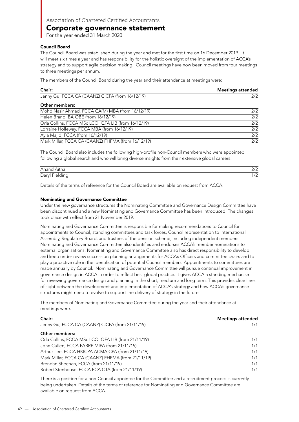For the year ended 31 March 2020

#### Council Board

The Council Board was established during the year and met for the first time on 16 December 2019. It will meet six times a year and has responsibility for the holistic oversight of the implementation of ACCA's strategy and to support agile decision making. Council meetings have now been moved from four meetings to three meetings per annum.

The members of the Council Board during the year and their attendance at meetings were:

| Chair:                                              | <b>Meetings attended</b> |
|-----------------------------------------------------|--------------------------|
| Jenny Gu, FCCA CA (CAANZ) CICPA (from 16/12/19)     | 2/2                      |
| Other members:                                      |                          |
| Mohd Nasir Ahmad, FCCA CA(M) MBA (from 16/12/19)    | 2/2                      |
| Helen Brand, BA OBE (from 16/12/19)                 | 2/2                      |
| Orla Collins, FCCA MSc LCOI QFA LIB (from 16/12/19) | 2/2                      |
| Lorraine Holleway, FCCA MBA (from 16/12/19)         | 2/2                      |
| Ayla Majid, FCCA (from 16/12/19)                    | 2/2                      |
| Mark Millar, FCCA CA (CAANZ) FHFMA (from 16/12/19)  | 2/2                      |

The Council Board also includes the following high-profile non-Council members who were appointed following a global search and who will bring diverse insights from their extensive global careers.

| Anand Aithal   | רו ה             |
|----------------|------------------|
| Daryl Fielding | $\sqrt{2}$<br>74 |

Details of the terms of reference for the Council Board are available on request from ACCA.

#### Nominating and Governance Committee

Under the new governance structures the Nominating Committee and Governance Design Committee have been discontinued and a new Nominating and Governance Committee has been introduced. The changes took place with effect from 21 November 2019.

Nominating and Governance Committee is responsible for making recommendations to Council for appointments to Council, standing committees and task forces, Council representation to International Assembly, Regulatory Board, and trustees of the pension scheme, including independent members. Nominating and Governance Committee also identifies and endorses ACCA's member nominations to external organisations. Nominating and Governance Committee also has direct responsibility to develop and keep under review succession planning arrangements for ACCA's Officers and committee chairs and to play a proactive role in the identification of potential Council members. Appointments to committees are made annually by Council. Nominating and Governance Committee will pursue continual improvement in governance design in ACCA in order to reflect best global practice. It gives ACCA a standing mechanism for reviewing governance design and planning in the short, medium and long term. This provides clear lines of sight between the development and implementation of ACCA's strategy and how ACCA's governance structures might need to evolve to support the delivery of strategy in the future.

The members of Nominating and Governance Committee during the year and their attendance at meetings were:

| Chair:                                              | <b>Meetings attended</b> |
|-----------------------------------------------------|--------------------------|
| Jenny Gu, FCCA CA (CAANZ) CICPA (from 21/11/19)     | 1/1                      |
| Other members:                                      |                          |
| Orla Collins, FCCA MSc LCOI QFA LIB (from 21/11/19) | 1/1                      |
| John Cullen, FCCA FABRP MIPA (from 21/11/19)        | 1/1                      |
| Arthur Lee, FCCA HKICPA ACMA CPA (from 21/11/19)    | 1/1                      |
| Mark Millar, FCCA CA (CAANZ) FHFMA (from 21/11/19)  | 1/1                      |
| Brendan Sheehan, FCCA (from 21/11/19)               | 1/1                      |
| Robert Stenhouse, FCCA FCA CTA (from 21/11/19)      | 1/1                      |

There is a position for a non-Council appointee for the Committee and a recruitment process is currently being undertaken. Details of the terms of reference for Nominating and Governance Committee are available on request from ACCA.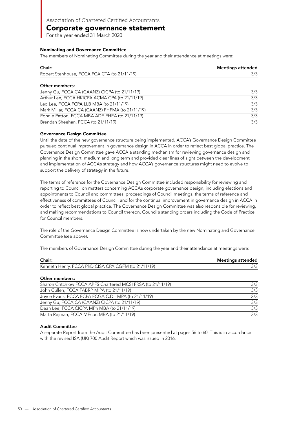For the year ended 31 March 2020

#### Nominating and Governance Committee

The members of Nominating Committee during the year and their attendance at meetings were:

| Chair:                                       | <b>Meetings attended</b> |
|----------------------------------------------|--------------------------|
| Robert Stenhouse, FCCA FCA CTA (to 21/11/19) |                          |
|                                              |                          |

#### Other members:

| Jenny Gu, FCCA CA (CAANZ) CICPA (to 21/11/19)    | 3/3 |
|--------------------------------------------------|-----|
| Arthur Lee, FCCA HKICPA ACMA CPA (to 21/11/19)   | 3/3 |
| Leo Lee, FCCA FCPA LLB MBA (to 21/11/19)         | 3/3 |
| Mark Millar, FCCA CA (CAANZ) FHFMA (to 21/11/19) | 3/3 |
| Ronnie Patton, FCCA MBA ADE FHEA (to 21/11/19)   | 3/3 |
| Brendan Sheehan, FCCA (to 21/11/19)              | 3/3 |

#### Governance Design Committee

Until the date of the new governance structure being implemented, ACCA's Governance Design Committee pursued continual improvement in governance design in ACCA in order to reflect best global practice. The Governance Design Committee gave ACCA a standing mechanism for reviewing governance design and planning in the short, medium and long term and provided clear lines of sight between the development and implementation of ACCA's strategy and how ACCA's governance structures might need to evolve to support the delivery of strategy in the future.

The terms of reference for the Governance Design Committee included responsibility for reviewing and reporting to Council on matters concerning ACCA's corporate governance design, including elections and appointments to Council and committees, proceedings of Council meetings, the terms of reference and effectiveness of committees of Council, and for the continual improvement in governance design in ACCA in order to reflect best global practice. The Governance Design Committee was also responsible for reviewing, and making recommendations to Council thereon, Council's standing orders including the Code of Practice for Council members.

The role of the Governance Design Committee is now undertaken by the new Nominating and Governance Committee (see above).

The members of Governance Design Committee during the year and their attendance at meetings were:

| Chair:                                              | <b>Meetings attended</b> |
|-----------------------------------------------------|--------------------------|
| Kenneth Henry, FCCA PhD CISA CPA CGFM (to 21/11/19) |                          |
|                                                     |                          |

Other members:

| Sharon Critchlow FCCA APFS Chartered MCSI FRSA (to 21/11/19) | 3/3 |
|--------------------------------------------------------------|-----|
| John Cullen, FCCA FABRP MIPA (to 21/11/19)                   | 3/3 |
| Joyce Evans, FCCA FCPA FCGA C.Dir MPA (to 21/11/19)          | 2/3 |
| Jenny Gu, FCCA CA (CAANZ) CICPA (to 21/11/19)                | 3/3 |
| Dean Lee, FCCA CICPA MPh MBA (to 21/11/19)                   | 3/3 |
| Marta Rejman, FCCA MEcon MBA (to 21/11/19)                   | 3/3 |

#### Audit Committee

A separate Report from the Audit Committee has been presented at pages 56 to 60. This is in accordance with the revised ISA (UK) 700 Audit Report which was issued in 2016.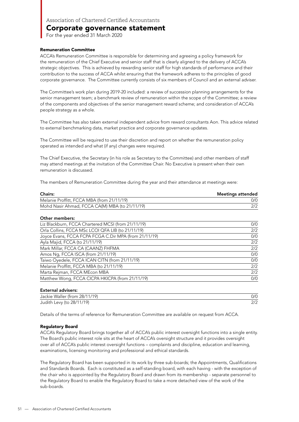For the year ended 31 March 2020

#### Remuneration Committee

ACCA's Remuneration Committee is responsible for determining and agreeing a policy framework for the remuneration of the Chief Executive and senior staff that is clearly aligned to the delivery of ACCA's strategic objectives. This is achieved by rewarding senior staff for high standards of performance and their contribution to the success of ACCA whilst ensuring that the framework adheres to the principles of good corporate governance. The Committee currently consists of six members of Council and an external adviser.

The Committee's work plan during 2019-20 included: a review of succession planning arrangements for the senior management team; a benchmark review of remuneration within the scope of the Committee; a review of the components and objectives of the senior management reward scheme; and consideration of ACCA's people strategy as a whole.

The Committee has also taken external independent advice from reward consultants Aon. This advice related to external benchmarking data, market practice and corporate governance updates.

The Committee will be required to use their discretion and report on whether the remuneration policy operated as intended and what (if any) changes were required.

The Chief Executive, the Secretary (in his role as Secretary to the Committee) and other members of staff may attend meetings at the invitation of the Committee Chair. No Executive is present when their own remuneration is discussed.

The members of Remuneration Committee during the year and their attendance at meetings were:

| <b>Chairs:</b>                                 | Meetings attended |
|------------------------------------------------|-------------------|
| Melanie Proffitt, FCCA MBA (from 21/11/19)     | 0/0               |
| Mohd Nasir Ahmad, FCCA CA(M) MBA (to 21/11/19) |                   |

#### Other members:

| Liz Blackburn, FCCA Chartered MCSI (from 21/11/19)    | 0/0 |
|-------------------------------------------------------|-----|
| Orla Collins, FCCA MSc LCOI QFA LIB (to 21/11/19)     | 2/2 |
| Joyce Evans, FCCA FCPA FCGA C.Dir MPA (from 21/11/19) | 0/0 |
| Ayla Majid, FCCA (to 21/11/19)                        | 2/2 |
| Mark Millar, FCCA CA (CAANZ) FHFMA                    | 2/2 |
| Amos Ng, FCCA ISCA (from 21/11/19)                    | 0/0 |
| Taiwo Oyedele, FCCA ICAN CITN (from 21/11/19)         | 0/0 |
| Melanie Proffitt, FCCA MBA (to 21/11/19)              | 2/2 |
| Marta Rejman, FCCA MEcon MBA                          | 2/2 |
| Matthew Wong, FCCA CICPA HKICPA (from 21/11/19)       | 0/0 |
|                                                       |     |

#### External advisers:

| ------------------            |      |
|-------------------------------|------|
| Jackie Waller (from 28/11/19) | 0/0  |
| Judith Levy (to 28/11/19)     | רו ר |

Details of the terms of reference for Remuneration Committee are available on request from ACCA.

#### Regulatory Board

ACCA's Regulatory Board brings together all of ACCA's public interest oversight functions into a single entity. The Board's public interest role sits at the heart of ACCA's oversight structure and it provides oversight over all of ACCA's public interest oversight functions – complaints and discipline, education and learning, examinations, licensing monitoring and professional and ethical standards.

The Regulatory Board has been supported in its work by three sub-boards; the Appointments, Qualifications and Standards Boards. Each is constituted as a self-standing board, with each having - with the exception of the chair who is appointed by the Regulatory Board and drawn from its membership - separate personnel to the Regulatory Board to enable the Regulatory Board to take a more detached view of the work of the sub-boards.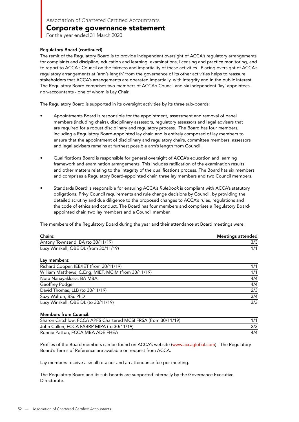For the year ended 31 March 2020

#### Regulatory Board (continued)

The remit of the Regulatory Board is to provide independent oversight of ACCA's regulatory arrangements for complaints and discipline, education and learning, examinations, licensing and practice monitoring, and to report to ACCA's Council on the fairness and impartiality of these activities. Placing oversight of ACCA's regulatory arrangements at 'arm's length' from the governance of its other activities helps to reassure stakeholders that ACCA's arrangements are operated impartially, with integrity and in the public interest. The Regulatory Board comprises two members of ACCA's Council and six independent 'lay' appointees non-accountants - one of whom is Lay Chair.

The Regulatory Board is supported in its oversight activities by its three sub-boards:

- Appointments Board is responsible for the appointment, assessment and removal of panel members (including chairs), disciplinary assessors, regulatory assessors and legal advisers that are required for a robust disciplinary and regulatory process. The Board has four members, including a Regulatory Board-appointed lay chair, and is entirely composed of lay members to ensure that the appointment of disciplinary and regulatory chairs, committee members, assessors and legal advisers remains at furthest possible arm's length from Council.
- Qualifications Board is responsible for general oversight of ACCA's education and learning framework and examination arrangements. This includes ratification of the examination results and other matters relating to the integrity of the qualifications process. The Board has six members and comprises a Regulatory Board-appointed chair, three lay members and two Council members.
- Standards Board is responsible for ensuring ACCA's *Rulebook* is compliant with ACCA's statutory obligations, Privy Council requirements and rule change decisions by Council, by providing the detailed scrutiny and due diligence to the proposed changes to ACCA's rules, regulations and the code of ethics and conduct. The Board has four members and comprises a Regulatory Boardappointed chair, two lay members and a Council member.

The members of the Regulatory Board during the year and their attendance at Board meetings were:

| <b>Chairs:</b>                        | <b>Meetings attended</b> |
|---------------------------------------|--------------------------|
| Antony Townsend, BA (to 30/11/19)     |                          |
| Lucy Winskell, OBE DL (from 30/11/19) |                          |

Lay members:

| Richard Cooper, IEE/IET (from 30/11/19)             | 1/1 |
|-----------------------------------------------------|-----|
| William Matthews, C.Eng, MIET, MCIM (from 30/11/19) | 1/1 |
| Nora Nanayakkara, BA MBA                            | 4/4 |
| Geoffrey Podger                                     | 4/4 |
| David Thomas, LLB (to 30/11/19)                     | 2/3 |
| Suzy Walton, BSc PhD                                | 3/4 |
| Lucy Winskell, OBE DL (to 30/11/19)                 | 3/3 |
|                                                     |     |

#### Members from Council:

| Sharon Critchlow, FCCA APFS Chartered MCSI FRSA (from 30/11/19) | 1/1 |
|-----------------------------------------------------------------|-----|
| John Cullen, FCCA FABRP MIPA (to 30/11/19)                      |     |
| Ronnie Patton, FCCA MBA ADE FHEA                                | 4/4 |

Profiles of the Board members can be found on ACCA's website (www.accaglobal.com). The Regulatory Board's Terms of Reference are available on request from ACCA.

Lay members receive a small retainer and an attendance fee per meeting.

The Regulatory Board and its sub-boards are supported internally by the Governance Executive Directorate.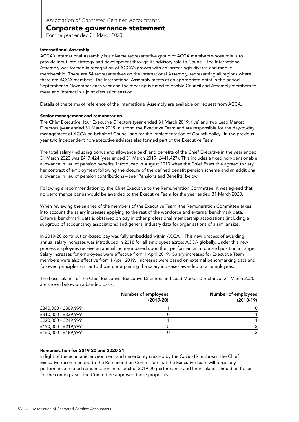For the year ended 31 March 2020

#### International Assembly

ACCA's International Assembly is a diverse representative group of ACCA members whose role is to provide input into strategy and development through its advisory role to Council. The International Assembly was formed in recognition of ACCA's growth with an increasingly diverse and mobile membership. There are 54 representatives on the International Assembly, representing all regions where there are ACCA members. The International Assembly meets at an appropriate point in the period September to November each year and the meeting is timed to enable Council and Assembly members to meet and interact in a joint discussion session.

Details of the terms of reference of the International Assembly are available on request from ACCA.

#### Senior management and remuneration

The Chief Executive, four Executive Directors (year ended 31 March 2019: five) and two Lead Market Directors (year ended 31 March 2019: nil) form the Executive Team and are responsible for the day-to-day management of ACCA on behalf of Council and for the implementation of Council policy. In the previous year two independent non-executive advisors also formed part of the Executive Team.

The total salary (including bonus and allowance paid) and benefits of the Chief Executive in the year ended 31 March 2020 was £417,424 (year ended 31 March 2019: £441,427). This includes a fixed non-pensionable allowance in lieu of pension benefits, introduced in August 2013 when the Chief Executive agreed to vary her contract of employment following the closure of the defined benefit pension scheme and an additional allowance in lieu of pension contributions – see 'Pensions and Benefits' below.

Following a recommendation by the Chief Executive to the Remuneration Committee, it was agreed that no performance bonus would be awarded to the Executive Team for the year ended 31 March 2020.

When reviewing the salaries of the members of the Executive Team, the Remuneration Committee takes into account the salary increases applying to the rest of the workforce and external benchmark data. External benchmark data is obtained on pay in other professional membership associations (including a subgroup of accountancy associations) and general industry data for organisations of a similar size.

In 2019-20 contribution-based pay was fully embedded within ACCA. This new process of awarding annual salary increases was introduced in 2018 for all employees across ACCA globally. Under this new process employees receive an annual increase based upon their performance in role and position in range. Salary increases for employees were effective from 1 April 2019. Salary increases for Executive Team members were also effective from 1 April 2019. Increases were based on external benchmarking data and followed principles similar to those underpinning the salary increases awarded to all employees.

The base salaries of the Chief Executive, Executive Directors and Lead Market Directors at 31 March 2020 are shown below on a banded basis.

|                     | Number of employees<br>$(2019-20)$ | Number of employees<br>$(2018-19)$ |
|---------------------|------------------------------------|------------------------------------|
| £340,000 - £369,999 |                                    | 0                                  |
| £310,000 - £339,999 |                                    |                                    |
| £220,000 - £249,999 |                                    |                                    |
| £190,000 - £219,999 |                                    | $\mathcal{P}$                      |
| £160,000 - £189,999 |                                    | $\mathcal{P}$                      |

#### Remuneration for 2019-20 and 2020-21

In light of the economic environment and uncertainty created by the Covid-19 outbreak, the Chief Executive recommended to the Remuneration Committee that the Executive team will forgo any performance-related remuneration in respect of 2019-20 performance and their salaries should be frozen for the coming year. The Committee approved these proposals.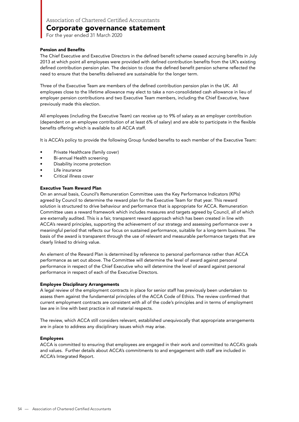For the year ended 31 March 2020

#### Pension and Benefits

The Chief Executive and Executive Directors in the defined benefit scheme ceased accruing benefits in July 2013 at which point all employees were provided with defined contribution benefits from the UK's existing defined contribution pension plan. The decision to close the defined benefit pension scheme reflected the need to ensure that the benefits delivered are sustainable for the longer term.

Three of the Executive Team are members of the defined contribution pension plan in the UK. All employees close to the lifetime allowance may elect to take a non-consolidated cash allowance in lieu of employer pension contributions and two Executive Team members, including the Chief Executive, have previously made this election.

All employees (including the Executive Team) can receive up to 9% of salary as an employer contribution (dependent on an employee contribution of at least 6% of salary) and are able to participate in the flexible benefits offering which is available to all ACCA staff.

It is ACCA's policy to provide the following Group funded benefits to each member of the Executive Team:

- Private Healthcare (family cover)
- Bi-annual Health screening
- Disability income protection
- Life insurance
- Critical illness cover

#### Executive Team Reward Plan

On an annual basis, Council's Remuneration Committee uses the Key Performance Indicators (KPIs) agreed by Council to determine the reward plan for the Executive Team for that year. This reward solution is structured to drive behaviour and performance that is appropriate for ACCA. Remuneration Committee uses a reward framework which includes measures and targets agreed by Council, all of which are externally audited. This is a fair, transparent reward approach which has been created in line with ACCA's reward principles, supporting the achievement of our strategy and assessing performance over a meaningful period that reflects our focus on sustained performance, suitable for a long-term business. The basis of the award is transparent through the use of relevant and measurable performance targets that are clearly linked to driving value.

An element of the Reward Plan is determined by reference to personal performance rather than ACCA performance as set out above. The Committee will determine the level of award against personal performance in respect of the Chief Executive who will determine the level of award against personal performance in respect of each of the Executive Directors.

#### Employee Disciplinary Arrangements

A legal review of the employment contracts in place for senior staff has previously been undertaken to assess them against the fundamental principles of the ACCA Code of Ethics. The review confirmed that current employment contracts are consistent with all of the code's principles and in terms of employment law are in line with best practice in all material respects.

The review, which ACCA still considers relevant, established unequivocally that appropriate arrangements are in place to address any disciplinary issues which may arise.

#### Employees

ACCA is committed to ensuring that employees are engaged in their work and committed to ACCA's goals and values. Further details about ACCA's commitments to and engagement with staff are included in ACCA's Integrated Report.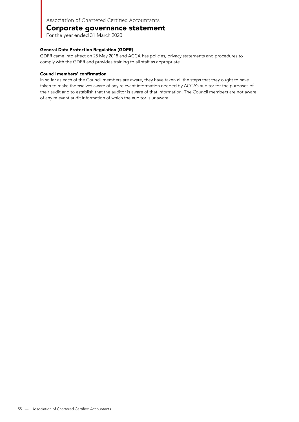### Corporate governance statement

For the year ended 31 March 2020

#### General Data Protection Regulation (GDPR)

GDPR came into effect on 25 May 2018 and ACCA has policies, privacy statements and procedures to comply with the GDPR and provides training to all staff as appropriate.

#### Council members' confirmation

In so far as each of the Council members are aware, they have taken all the steps that they ought to have taken to make themselves aware of any relevant information needed by ACCA's auditor for the purposes of their audit and to establish that the auditor is aware of that information. The Council members are not aware of any relevant audit information of which the auditor is unaware.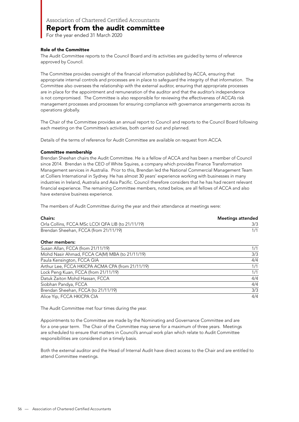For the year ended 31 March 2020

#### Role of the Committee

The Audit Committee reports to the Council Board and its activities are guided by terms of reference approved by Council.

The Committee provides oversight of the financial information published by ACCA, ensuring that appropriate internal controls and processes are in place to safeguard the integrity of that information. The Committee also oversees the relationship with the external auditor, ensuring that appropriate processes are in place for the appointment and remuneration of the auditor and that the auditor's independence is not compromised. The Committee is also responsible for reviewing the effectiveness of ACCA's risk management processes and processes for ensuring compliance with governance arrangements across its operations globally.

The Chair of the Committee provides an annual report to Council and reports to the Council Board following each meeting on the Committee's activities, both carried out and planned.

Details of the terms of reference for Audit Committee are available on request from ACCA.

#### Committee membership

Brendan Sheehan chairs the Audit Committee. He is a fellow of ACCA and has been a member of Council since 2014. Brendan is the CEO of White Squires, a company which provides Finance Transformation Management services in Australia. Prior to this, Brendan led the National Commercial Management Team at Colliers International in Sydney. He has almost 30 years' experience working with businesses in many industries in Ireland, Australia and Asia Pacific. Council therefore considers that he has had recent relevant financial experience. The remaining Committee members, noted below, are all fellows of ACCA and also have extensive business experience.

The members of Audit Committee during the year and their attendance at meetings were:

| <b>Chairs:</b>                                    | <b>Meetings attended</b> |
|---------------------------------------------------|--------------------------|
| Orla Collins, FCCA MSc LCOI QFA LIB (to 21/11/19) |                          |
| Brendan Sheehan, FCCA (from 21/11/19)             |                          |

#### Other members:

| Susan Allan, FCCA (from 21/11/19)                | 1/1 |
|--------------------------------------------------|-----|
| Mohd Nasir Ahmad, FCCA CA(M) MBA (to 21/11/19)   | 3/3 |
| Paula Kensington, FCCA GIA                       | 4/4 |
| Arthur Lee, FCCA HKICPA ACMA CPA (from 21/11/19) | 1/1 |
| Lock Peng Kuan, FCCA (from 21/11/19)             | 1/1 |
| Datuk Zaiton Mohd Hassan, FCCA                   | 4/4 |
| Siobhan Pandya, FCCA                             | 4/4 |
| Brendan Sheehan, FCCA (to 21/11/19)              | 3/3 |
| Alice Yip, FCCA HKICPA CIA                       | 4/4 |

The Audit Committee met four times during the year.

Appointments to the Committee are made by the Nominating and Governance Committee and are for a one-year term. The Chair of the Committee may serve for a maximum of three years. Meetings are scheduled to ensure that matters in Council's annual work plan which relate to Audit Committee responsibilities are considered on a timely basis.

Both the external auditor and the Head of Internal Audit have direct access to the Chair and are entitled to attend Committee meetings.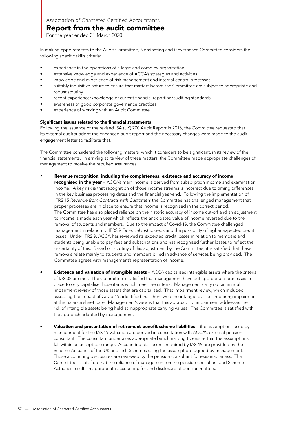For the year ended 31 March 2020

In making appointments to the Audit Committee, Nominating and Governance Committee considers the following specific skills criteria:

- experience in the operations of a large and complex organisation
- extensive knowledge and experience of ACCA's strategies and activities
- knowledge and experience of risk management and internal control processes
- suitably inquisitive nature to ensure that matters before the Committee are subject to appropriate and robust scrutiny
- recent experience/knowledge of current financial reporting/auditing standards
- awareness of good corporate governance practices
- experience of working with an Audit Committee.

#### Significant issues related to the financial statements

Following the issuance of the revised ISA (UK) 700 Audit Report in 2016, the Committee requested that its external auditor adopt the enhanced audit report and the necessary changes were made to the audit engagement letter to facilitate that.

The Committee considered the following matters, which it considers to be significant, in its review of the financial statements. In arriving at its view of these matters, the Committee made appropriate challenges of management to receive the required assurances.

#### Revenue recognition, including the completeness, existence and accuracy of income •

recognised in the year - ACCA's main income is derived from subscription income and examination income. A key risk is that recognition of those income streams is incorrect due to timing differences in the key business processing dates and the financial year-end. Following the implementation of IFRS 15 Revenue from Contracts with Customers the Committee has challenged management that proper processes are in place to ensure that income is recognised in the correct period. The Committee has also placed reliance on the historic accuracy of income cut-off and an adjustment to income is made each year which reflects the anticipated value of income reversed due to the removal of students and members. Due to the impact of Covid-19, the Committee challenged management in relation to IFRS 9 Financial Instruments and the possibility of higher expected credit losses. Under IFRS 9, ACCA has reviewed its expected credit losses in relation to members and students being unable to pay fees and subscriptions and has recognised further losses to reflect the uncertainty of this. Based on scrutiny of this adjustment by the Committee, it is satisfied that these removals relate mainly to students and members billed in advance of services being provided. The Committee agrees with management's representation of income.

- **Existence and valuation of intangible assets** ACCA capitalises intangible assets where the criteria of IAS 38 are met. The Committee is satisfied that management have put appropriate processes in place to only capitalise those items which meet the criteria. Management carry out an annual impairment review of those assets that are capitalised. That impairment review, which included assessing the impact of Covid-19, identified that there were no intangible assets requiring impairment at the balance sheet date. Management's view is that this approach to impairment addresses the risk of intangible assets being held at inappropriate carrying values. The Committee is satisfied with the approach adopted by management.
- Valuation and presentation of retirement benefit scheme liabilities the assumptions used by management for the IAS 19 valuation are derived in consultation with ACCA's external pension consultant. The consultant undertakes appropriate benchmarking to ensure that the assumptions fall within an acceptable range. Accounting disclosures required by IAS 19 are provided by the Scheme Actuaries of the UK and Irish Schemes using the assumptions agreed by management. Those accounting disclosures are reviewed by the pension consultant for reasonableness. The Committee is satisfied that the reliance of management on the pension consultant and Scheme Actuaries results in appropriate accounting for and disclosure of pension matters.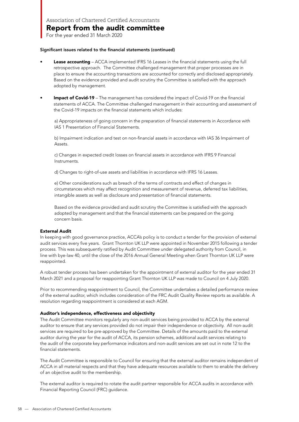For the year ended 31 March 2020

#### Significant issues related to the financial statements (continued)

- **Lease accounting** ACCA implemented IFRS 16 Leases in the financial statements using the full retrospective approach. The Committee challenged management that proper processes are in place to ensure the accounting transactions are accounted for correctly and disclosed appropriately. Based on the evidence provided and audit scrutiny the Committee is satisfied with the approach adopted by management.
- Impact of Covid-19 The management has considered the impact of Covid-19 on the financial statements of ACCA. The Committee challenged management in their accounting and assessment of the Covid-19 impacts on the financial statements which includes:

a) Appropriateness of going concern in the preparation of financial statements in Accordance with IAS 1 Presentation of Financial Statements.

b) Impairment indication and test on non-financial assets in accordance with IAS 36 Impairment of Assets.

c) Changes in expected credit losses on financial assets in accordance with IFRS 9 Financial Instruments.

d) Changes to right-of-use assets and liabilities in accordance with IFRS 16 Leases.

e) Other considerations such as breach of the terms of contracts and effect of changes in circumstances which may affect recognition and measurement of revenue, deferred tax liabilities, intangible assets as well as disclosure and presentation of financial statements.

Based on the evidence provided and audit scrutiny the Committee is satisfied with the approach adopted by management and that the financial statements can be prepared on the going concern basis.

#### External Audit

In keeping with good governance practice, ACCA's policy is to conduct a tender for the provision of external audit services every five years. Grant Thornton UK LLP were appointed in November 2015 following a tender process. This was subsequently ratified by Audit Committee under delegated authority from Council, in line with bye-law 40, until the close of the 2016 Annual General Meeting when Grant Thornton UK LLP were reappointed.

A robust tender process has been undertaken for the appointment of external auditor for the year ended 31 March 2021 and a proposal for reappointing Grant Thornton UK LLP was made to Council on 4 July 2020.

Prior to recommending reappointment to Council, the Committee undertakes a detailed performance review of the external auditor, which includes consideration of the FRC Audit Quality Review reports as available. A resolution regarding reappointment is considered at each AGM.

#### Auditor's independence, effectiveness and objectivity

The Audit Committee monitors regularly any non-audit services being provided to ACCA by the external auditor to ensure that any services provided do not impair their independence or objectivity. All non-audit services are required to be pre-approved by the Committee. Details of the amounts paid to the external auditor during the year for the audit of ACCA, its pension schemes, additional audit services relating to the audit of the corporate key performance indicators and non-audit services are set out in note 12 to the financial statements.

The Audit Committee is responsible to Council for ensuring that the external auditor remains independent of ACCA in all material respects and that they have adequate resources available to them to enable the delivery of an objective audit to the membership.

The external auditor is required to rotate the audit partner responsible for ACCA audits in accordance with Financial Reporting Council (FRC) guidance.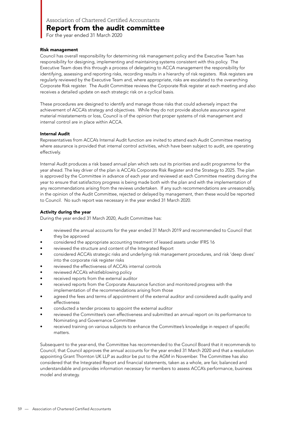For the year ended 31 March 2020

#### Risk management

Council has overall responsibility for determining risk management policy and the Executive Team has responsibility for designing, implementing and maintaining systems consistent with this policy. The Executive Team does this through a process of delegating to ACCA management the responsibility for identifying, assessing and reporting risks, recording results in a hierarchy of risk registers. Risk registers are regularly reviewed by the Executive Team and, where appropriate, risks are escalated to the overarching Corporate Risk register. The Audit Committee reviews the Corporate Risk register at each meeting and also receives a detailed update on each strategic risk on a cyclical basis.

These procedures are designed to identify and manage those risks that could adversely impact the achievement of ACCA's strategy and objectives. While they do not provide absolute assurance against material misstatements or loss, Council is of the opinion that proper systems of risk management and internal control are in place within ACCA.

#### Internal Audit

Representatives from ACCA's Internal Audit function are invited to attend each Audit Committee meeting where assurance is provided that internal control activities, which have been subject to audit, are operating effectively.

Internal Audit produces a risk based annual plan which sets out its priorities and audit programme for the year ahead. The key driver of the plan is ACCA's Corporate Risk Register and the Strategy to 2025. The plan is approved by the Committee in advance of each year and reviewed at each Committee meeting during the year to ensure that satisfactory progress is being made both with the plan and with the implementation of any recommendations arising from the reviews undertaken. If any such recommendations are unreasonably, in the opinion of the Audit Committee, rejected or delayed by management, then these would be reported to Council. No such report was necessary in the year ended 31 March 2020.

#### Activity during the year

During the year ended 31 March 2020, Audit Committee has:

- reviewed the annual accounts for the year ended 31 March 2019 and recommended to Council that they be approved
- considered the appropriate accounting treatment of leased assets under IFRS 16
- reviewed the structure and content of the Integrated Report
- considered ACCA's strategic risks and underlying risk management procedures, and risk 'deep dives' into the corporate risk register risks
- reviewed the effectiveness of ACCA's internal controls
- reviewed ACCA's whistleblowing policy
- received reports from the external auditor
- received reports from the Corporate Assurance function and monitored progress with the implementation of the recommendations arising from those
- agreed the fees and terms of appointment of the external auditor and considered audit quality and effectiveness
- conducted a tender process to appoint the external auditor
- reviewed the Committee's own effectiveness and submitted an annual report on its performance to Nominating and Governance Committee
- received training on various subjects to enhance the Committee's knowledge in respect of specific matters.

Subsequent to the year-end, the Committee has recommended to the Council Board that it recommends to Council, that Council approves the annual accounts for the year ended 31 March 2020 and that a resolution appointing Grant Thornton UK LLP as auditor be put to the AGM in November. The Committee has also considered that the Integrated Report and financial statements, taken as a whole, are fair, balanced and understandable and provides information necessary for members to assess ACCA's performance, business model and strategy.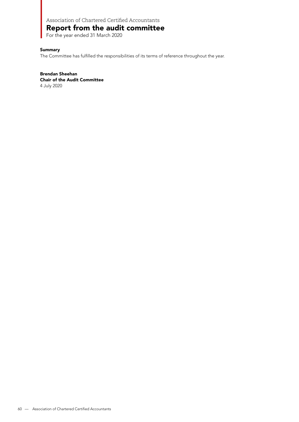### Report from the audit committee

For the year ended 31 March 2020

#### **Summary**

The Committee has fulfilled the responsibilities of its terms of reference throughout the year.

Brendan Sheehan Chair of the Audit Committee 4 July 2020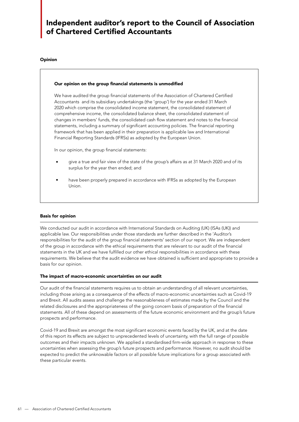## Independent auditor's report to the Council of Association of Chartered Certified Accountants

#### Opinion

#### Our opinion on the group financial statements is unmodified

We have audited the group financial statements of the Association of Chartered Certified Accountants and its subsidiary undertakings (the 'group') for the year ended 31 March 2020 which comprise the consolidated income statement, the consolidated statement of comprehensive income, the consolidated balance sheet, the consolidated statement of changes in members' funds, the consolidated cash flow statement and notes to the financial statements, including a summary of significant accounting policies. The financial reporting framework that has been applied in their preparation is applicable law and International Financial Reporting Standards (IFRSs) as adopted by the European Union.

In our opinion, the group financial statements:

- give a true and fair view of the state of the group's affairs as at 31 March 2020 and of its surplus for the year then ended; and •
- have been properly prepared in accordance with IFRSs as adopted by the European Union. •

#### Basis for opinion

We conducted our audit in accordance with International Standards on Auditing (UK) (ISAs (UK)) and applicable law. Our responsibilities under those standards are further described in the 'Auditor's responsibilities for the audit of the group financial statements' section of our report. We are independent of the group in accordance with the ethical requirements that are relevant to our audit of the financial statements in the UK and we have fulfilled our other ethical responsibilities in accordance with these requirements. We believe that the audit evidence we have obtained is sufficient and appropriate to provide a basis for our opinion.

#### The impact of macro-economic uncertainties on our audit

Our audit of the financial statements requires us to obtain an understanding of all relevant uncertainties, including those arising as a consequence of the effects of macro-economic uncertainties such as Covid-19 and Brexit. All audits assess and challenge the reasonableness of estimates made by the Council and the related disclosures and the appropriateness of the going concern basis of preparation of the financial statements. All of these depend on assessments of the future economic environment and the group's future prospects and performance.

Covid-19 and Brexit are amongst the most significant economic events faced by the UK, and at the date of this report its effects are subject to unprecedented levels of uncertainty, with the full range of possible outcomes and their impacts unknown. We applied a standardised firm-wide approach in response to these uncertainties when assessing the group's future prospects and performance. However, no audit should be expected to predict the unknowable factors or all possible future implications for a group associated with these particular events.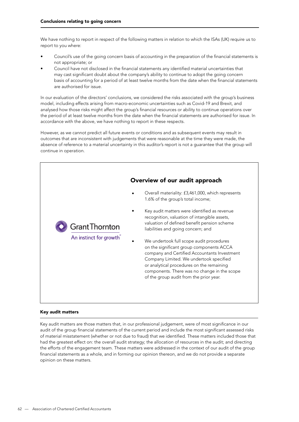We have nothing to report in respect of the following matters in relation to which the ISAs (UK) require us to report to you where:

- Council's use of the going concern basis of accounting in the preparation of the financial statements is not appropriate; or
- Council have not disclosed in the financial statements any identified material uncertainties that may cast significant doubt about the company's ability to continue to adopt the going concern basis of accounting for a period of at least twelve months from the date when the financial statements are authorised for issue.

In our evaluation of the directors' conclusions, we considered the risks associated with the group's business model, including effects arising from macro-economic uncertainties such as Covid-19 and Brexit, and analysed how those risks might affect the group's financial resources or ability to continue operations over the period of at least twelve months from the date when the financial statements are authorised for issue. In accordance with the above, we have nothing to report in these respects.

However, as we cannot predict all future events or conditions and as subsequent events may result in outcomes that are inconsistent with judgements that were reasonable at the time they were made, the absence of reference to a material uncertainty in this auditor's report is not a guarantee that the group will continue in operation.



#### Key audit matters

Key audit matters are those matters that, in our professional judgement, were of most significance in our audit of the group financial statements of the current period and include the most significant assessed risks of material misstatement (whether or not due to fraud) that we identified. These matters included those that had the greatest effect on: the overall audit strategy; the allocation of resources in the audit; and directing the efforts of the engagement team. These matters were addressed in the context of our audit of the group financial statements as a whole, and in forming our opinion thereon, and we do not provide a separate opinion on these matters.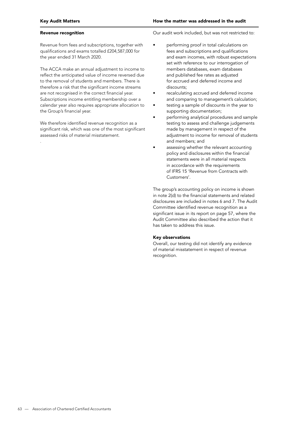#### Revenue recognition

.

Revenue from fees and subscriptions, together with qualifications and exams totalled £204,587,000 for the year ended 31 March 2020.

The ACCA make an annual adjustment to income to reflect the anticipated value of income reversed due to the removal of students and members. There is therefore a risk that the significant income streams are not recognised in the correct financial year. Subscriptions income entitling membership over a calendar year also requires appropriate allocation to the Group's financial year.

We therefore identified revenue recognition as a significant risk, which was one of the most significant assessed risks of material misstatement.

Our audit work included, but was not restricted to:

- performing proof in total calculations on fees and subscriptions and qualifications and exam incomes, with robust expectations set with reference to our interrogation of members databases, exam databases and published fee rates as adjusted for accrued and deferred income and discounts;
- recalculating accrued and deferred income and comparing to management's calculation;
- testing a sample of discounts in the year to supporting documentation;
- performing analytical procedures and sample testing to assess and challenge judgements made by management in respect of the adjustment to income for removal of students and members; and
- assessing whether the relevant accounting policy and disclosures within the financial statements were in all material respects in accordance with the requirements of IFRS 15 'Revenue from Contracts with Customers'.

The group's accounting policy on income is shown in note 2(d) to the financial statements and related disclosures are included in notes 6 and 7. The Audit Committee identified revenue recognition as a significant issue in its report on page 57, where the Audit Committee also described the action that it has taken to address this issue.

#### Key observations

Overall, our testing did not identify any evidence of material misstatement in respect of revenue recognition.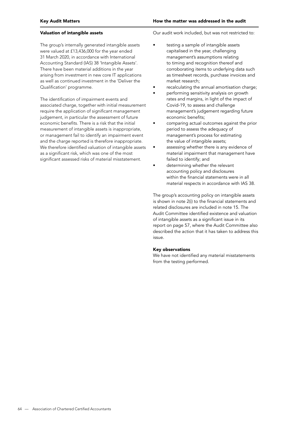#### Valuation of intangible assets

The group's internally generated intangible assets were valued at £13,436,000 for the year ended 31 March 2020, in accordance with International Accounting Standard (IAS) 38 'Intangible Assets'. There have been material additions in the year arising from investment in new core IT applications as well as continued investment in the 'Deliver the Qualification' programme.

The identification of impairment events and associated charge, together with initial measurement require the application of significant management judgement, in particular the assessment of future economic benefits. There is a risk that the initial measurement of intangible assets is inappropriate, or management fail to identify an impairment event and the charge reported is therefore inappropriate. We therefore identified valuation of intangible assets as a significant risk, which was one of the most significant assessed risks of material misstatement.

Our audit work included, but was not restricted to:

- testing a sample of intangible assets capitalised in the year, challenging management's assumptions relating to timing and recognition thereof and corroborating items to underlying data such as timesheet records, purchase invoices and market research;
- recalculating the annual amortisation charge;
- performing sensitivity analysis on growth rates and margins, in light of the impact of Covid-19, to assess and challenge management's judgement regarding future economic benefits;
- comparing actual outcomes against the prior period to assess the adequacy of management's process for estimating the value of intangible assets;
- assessing whether there is any evidence of material impairment that management have failed to identify; and
- determining whether the relevant accounting policy and disclosures within the financial statements were in all material respects in accordance with IAS 38.

The group's accounting policy on intangible assets is shown in note 2(i) to the financial statements and related disclosures are included in note 15. The Audit Committee identified existence and valuation of intangible assets as a significant issue in its report on page 57, where the Audit Committee also described the action that it has taken to address this issue.

#### Key observations

We have not identified any material misstatements from the testing performed.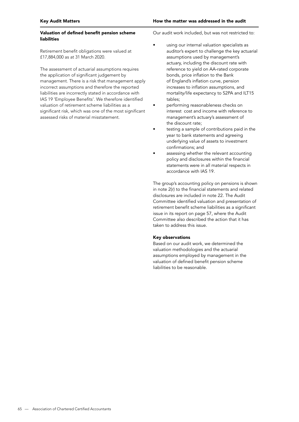#### Valuation of defined benefit pension scheme liabilities

Retirement benefit obligations were valued at £17,884,000 as at 31 March 2020.

The assessment of actuarial assumptions requires the application of significant judgement by management. There is a risk that management apply incorrect assumptions and therefore the reported liabilities are incorrectly stated in accordance with IAS 19 'Employee Benefits'. We therefore identified valuation of retirement scheme liabilities as a significant risk, which was one of the most significant assessed risks of material misstatement.

Our audit work included, but was not restricted to:

- using our internal valuation specialists as auditor's expert to challenge the key actuarial assumptions used by management's actuary, including the discount rate with reference to yield on AA-rated corporate bonds, price inflation to the Bank of England's inflation curve, pension increases to inflation assumptions, and mortality/life expectancy to S2PA and ILT15 tables;
- performing reasonableness checks on interest cost and income with reference to management's actuary's assessment of the discount rate;
- testing a sample of contributions paid in the year to bank statements and agreeing underlying value of assets to investment confirmations; and
- assessing whether the relevant accounting policy and disclosures within the financial statements were in all material respects in accordance with IAS 19.

The group's accounting policy on pensions is shown in note 2(r) to the financial statements and related disclosures are included in note 22. The Audit Committee identified valuation and presentation of retirement benefit scheme liabilities as a significant issue in its report on page 57, where the Audit Committee also described the action that it has taken to address this issue.

#### Key observations

Based on our audit work, we determined the valuation methodologies and the actuarial assumptions employed by management in the valuation of defined benefit pension scheme liabilities to be reasonable.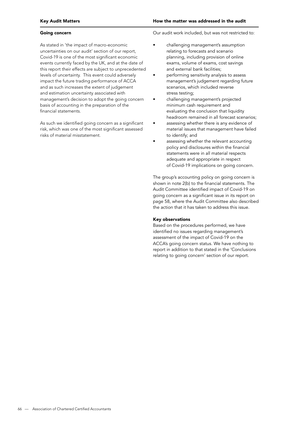#### Going concern

As stated in 'the impact of macro-economic uncertainties on our audit' section of our report, Covid-19 is one of the most significant economic events currently faced by the UK, and at the date of this report their effects are subject to unprecedented levels of uncertainty. This event could adversely impact the future trading performance of ACCA and as such increases the extent of judgement and estimation uncertainty associated with management's decision to adopt the going concern basis of accounting in the preparation of the financial statements.

As such we identified going concern as a significant risk, which was one of the most significant assessed risks of material misstatement.

Our audit work included, but was not restricted to:

- challenging management's assumption relating to forecasts and scenario planning, including provision of online exams, volume of exams, cost savings and external bank facilities;
- performing sensitivity analysis to assess management's judgement regarding future scenarios, which included reverse stress testing;
- challenging management's projected minimum cash requirement and evaluating the conclusion that liquidity headroom remained in all forecast scenarios;
- assessing whether there is any evidence of material issues that management have failed to identify; and
- assessing whether the relevant accounting policy and disclosures within the financial statements were in all material respects adequate and appropriate in respect of Covid-19 implications on going concern.

The group's accounting policy on going concern is shown in note 2(b) to the financial statements. The Audit Committee identified impact of Covid-19 on going concern as a significant issue in its report on page 58, where the Audit Committee also described the action that it has taken to address this issue.

#### Key observations

Based on the procedures performed, we have identified no issues regarding management's assessment of the impact of Covid-19 on the ACCA's going concern status. We have nothing to report in addition to that stated in the 'Conclusions relating to going concern' section of our report.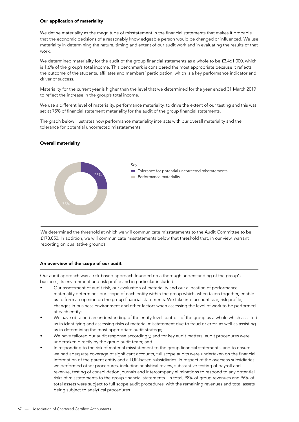#### Our application of materiality

We define materiality as the magnitude of misstatement in the financial statements that makes it probable that the economic decisions of a reasonably knowledgeable person would be changed or influenced. We use materiality in determining the nature, timing and extent of our audit work and in evaluating the results of that work.

We determined materiality for the audit of the group financial statements as a whole to be £3,461,000, which is 1.6% of the group's total income. This benchmark is considered the most appropriate because it reflects the outcome of the students, affiliates and members' participation, which is a key performance indicator and driver of success.

Materiality for the current year is higher than the level that we determined for the year ended 31 March 2019 to reflect the increase in the group's total income.

We use a different level of materiality, performance materiality, to drive the extent of our testing and this was set at 75% of financial statement materiality for the audit of the group financial statements.

The graph below illustrates how performance materiality interacts with our overall materiality and the tolerance for potential uncorrected misstatements.

#### Overall materiality



We determined the threshold at which we will communicate misstatements to the Audit Committee to be £173,050. In addition, we will communicate misstatements below that threshold that, in our view, warrant reporting on qualitative grounds.

#### An overview of the scope of our audit

Our audit approach was a risk-based approach founded on a thorough understanding of the group's business, its environment and risk profile and in particular included:

- Our assessment of audit risk, our evaluation of materiality and our allocation of performance materiality determines our scope of each entity within the group which, when taken together, enable us to form an opinion on the group financial statements. We take into account size, risk profile, changes in business environment and other factors when assessing the level of work to be performed at each entity;
- We have obtained an understanding of the entity-level controls of the group as a whole which assisted us in identifying and assessing risks of material misstatement due to fraud or error, as well as assisting us in determining the most appropriate audit strategy;
- We have tailored our audit response accordingly, and for key audit matters, audit procedures were undertaken directly by the group audit team; and
- In responding to the risk of material misstatement to the group financial statements, and to ensure we had adequate coverage of significant accounts, full scope audits were undertaken on the financial information of the parent entity and all UK-based subsidiaries. In respect of the overseas subsidiaries, we performed other procedures, including analytical review, substantive testing of payroll and revenue, testing of consolidation journals and intercompany eliminations to respond to any potential risks of misstatements to the group financial statements. In total, 98% of group revenues and 96% of total assets were subject to full scope audit procedures, with the remaining revenues and total assets being subject to analytical procedures.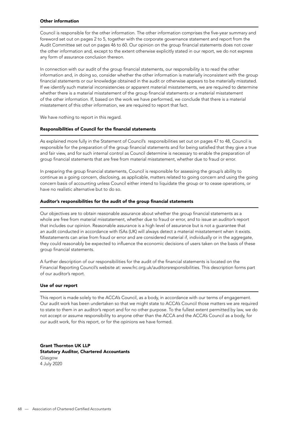#### Other information

Council is responsible for the other information. The other information comprises the five-year summary and foreword set out on pages 2 to 5, together with the corporate governance statement and report from the Audit Committee set out on pages 46 to 60. Our opinion on the group financial statements does not cover the other information and, except to the extent otherwise explicitly stated in our report, we do not express any form of assurance conclusion thereon.

In connection with our audit of the group financial statements, our responsibility is to read the other information and, in doing so, consider whether the other information is materially inconsistent with the group financial statements or our knowledge obtained in the audit or otherwise appears to be materially misstated. If we identify such material inconsistencies or apparent material misstatements, we are required to determine whether there is a material misstatement of the group financial statements or a material misstatement of the other information. If, based on the work we have performed, we conclude that there is a material misstatement of this other information, we are required to report that fact.

We have nothing to report in this regard.

#### Responsibilities of Council for the financial statements

As explained more fully in the Statement of Council's responsibilities set out on pages 47 to 48, Council is responsible for the preparation of the group financial statements and for being satisfied that they give a true and fair view, and for such internal control as Council determine is necessary to enable the preparation of group financial statements that are free from material misstatement, whether due to fraud or error.

In preparing the group financial statements, Council is responsible for assessing the group's ability to continue as a going concern, disclosing, as applicable, matters related to going concern and using the going concern basis of accounting unless Council either intend to liquidate the group or to cease operations, or have no realistic alternative but to do so.

#### Auditor's responsibilities for the audit of the group financial statements

Our objectives are to obtain reasonable assurance about whether the group financial statements as a whole are free from material misstatement, whether due to fraud or error, and to issue an auditor's report that includes our opinion. Reasonable assurance is a high level of assurance but is not a guarantee that an audit conducted in accordance with ISAs (UK) will always detect a material misstatement when it exists. Misstatements can arise from fraud or error and are considered material if, individually or in the aggregate, they could reasonably be expected to influence the economic decisions of users taken on the basis of these group financial statements.

A further description of our responsibilities for the audit of the financial statements is located on the Financial Reporting Council's website at: www.frc.org.uk/auditorsresponsibilities. This description forms part of our auditor's report.

#### Use of our report

This report is made solely to the ACCA's Council, as a body, in accordance with our terms of engagement. Our audit work has been undertaken so that we might state to ACCA's Council those matters we are required to state to them in an auditor's report and for no other purpose. To the fullest extent permitted by law, we do not accept or assume responsibility to anyone other than the ACCA and the ACCA's Council as a body, for our audit work, for this report, or for the opinions we have formed.

Grant Thornton UK LLP Statutory Auditor, Chartered Accountants Glasgow 4 July 2020